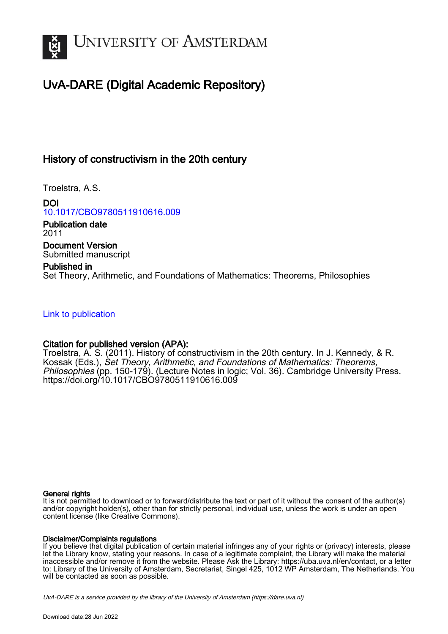

# UvA-DARE (Digital Academic Repository)

# History of constructivism in the 20th century

Troelstra, A.S.

DOI [10.1017/CBO9780511910616.009](https://doi.org/10.1017/CBO9780511910616.009)

Publication date 2011 Document Version Submitted manuscript

Published in Set Theory, Arithmetic, and Foundations of Mathematics: Theorems, Philosophies

[Link to publication](https://dare.uva.nl/personal/pure/en/publications/history-of-constructivism-in-the-20th-century(c62903b7-eb91-41de-a99e-40a56e760775).html)

# Citation for published version (APA):

Troelstra, A. S. (2011). History of constructivism in the 20th century. In J. Kennedy, & R. Kossak (Eds.), Set Theory, Arithmetic, and Foundations of Mathematics: Theorems, Philosophies (pp. 150-179). (Lecture Notes in logic; Vol. 36). Cambridge University Press. <https://doi.org/10.1017/CBO9780511910616.009>

# General rights

It is not permitted to download or to forward/distribute the text or part of it without the consent of the author(s) and/or copyright holder(s), other than for strictly personal, individual use, unless the work is under an open content license (like Creative Commons).

# Disclaimer/Complaints regulations

If you believe that digital publication of certain material infringes any of your rights or (privacy) interests, please let the Library know, stating your reasons. In case of a legitimate complaint, the Library will make the material inaccessible and/or remove it from the website. Please Ask the Library: https://uba.uva.nl/en/contact, or a letter to: Library of the University of Amsterdam, Secretariat, Singel 425, 1012 WP Amsterdam, The Netherlands. You will be contacted as soon as possible.

UvA-DARE is a service provided by the library of the University of Amsterdam (http*s*://dare.uva.nl)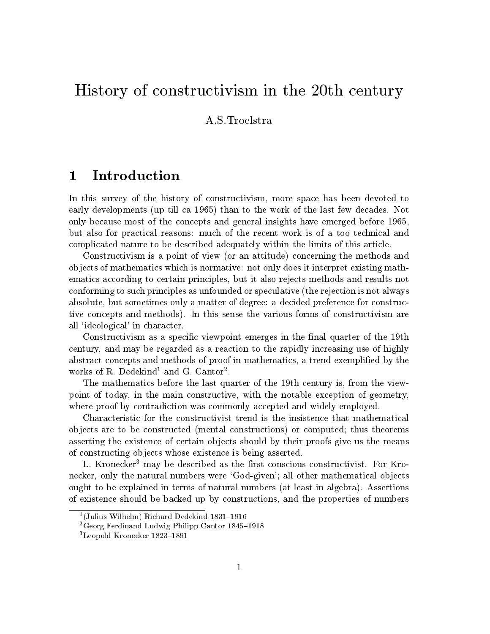# History of constructivism in the 20th century

# A.S.Troelstra

#### Introduction  $\mathbf 1$

In this survey of the history of constructivism, more space has been devoted to early developments up that for the last  $\mu$  than to the work of the work few decades the state  $\mu$ only because most of the concepts and general insights have emerged before but also for practical reasons: much of the recent work is of a too technical and complicated nature to be described adequately within the limits of this article

Constructivism is a point of view (or an attitude) concerning the methods and objects of mathematics which is normative: not only does it interpret existing mathematics according to certain principles but it also rejects methods and results not conforming to such principles as unfounded or speculative the rejection is not always absolute, but sometimes only a matter of degree: a decided preference for constructive concepts and methods). In this sense the various forms of constructivism are all ideological in character

Constructivism as a specic viewpoint emerges in the nal quarter of the -th century and may be regarded as a reaction to the rapidly increasing use of highly abstract concepts and methods of proof in mathematics a trend exemplied by the works of R. Dedekind and G. Cantor-.

the mathematics before the such quarter of the state  $\alpha$  and  $\beta$  the view  $\alpha$ point of today, in the main constructive, with the notable exception of geometry, where proof by contradiction was commonly accepted and widely employed.

Characteristic for the constructivist trend is the insistence that mathematical objects are to be constructed (mental constructions) or computed; thus theorems asserting the existence of certain ob jects should by their proofs give us the means of constructing ob jects whose existence is being asserted

L. Kronecker- may be described as the first conscious constructivist. For Kronecker only the natural numbers were God given
 all other mathematical ob jects ought to be explained in terms of natural numbers (at least in algebra). Assertions of existence should be backed up by constructions and the properties of numbers

 $\lceil$ Julius Wilhelmi) Kichard Dedekind 1851–1910 –

<sup>-</sup>Georg Ferdinand Ludwig Philipp Cantor 1845–1918

<sup>-</sup> Peopold Vloheckel 1979–1991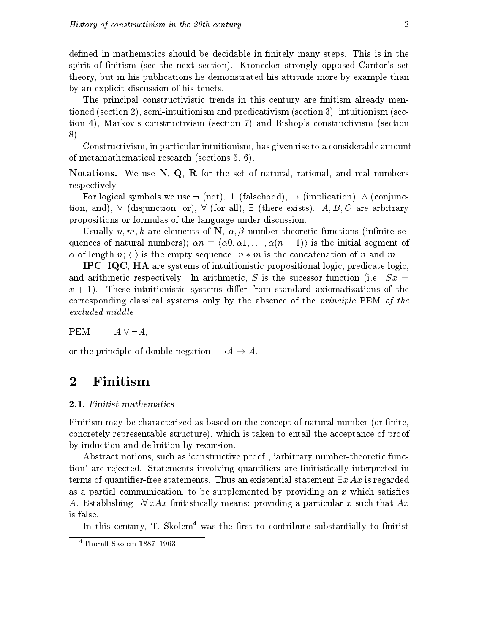defined in mathematics should be decidable in finitely many steps. This is in the spirit of finitism (see the next section). Kronecker strongly opposed Cantor's set theory but in his publications he demonstrated his attitude more by example than by an explicit discussion of his tenets

The principal constructivistic trends in this century are finitism already mentioned (section 2), semi-intuitionism and predicativism (section 3), intuitionism (section 4), Markov's constructivism (section 7) and Bishop's constructivism (section 8).

Constructivism, in particular intuitionism, has given rise to a considerable amount of metamathematical research (sections  $5, 6$ ).

Notations. We use  $N$ ,  $Q$ ,  $R$  for the set of natural, rational, and real numbers respectively

 $\mathcal{L}$  . In provided the use  $\mathcal{L}$  implies  $\mathcal{L}$  is a conjunct of  $\mathcal{L}$  . In the set of  $\mathcal{L}$ tion, and),  $\vee$  (disjunction, or),  $\forall$  (for all),  $\exists$  (there exists). A, B, C are arbitrary propositions or formulas of the language under discussion

usually naturally are elements of N  $\alpha$  in the N  $\alpha$  are elements of  $\alpha$  . The second complete set of  $\alpha$  $q$  access of natural numbers  $p$ ,  $q$  and  $q$  is the  $q$  -  $q$  is the initial segment of  $q$  $\alpha$  of length n;  $\langle \ \rangle$  is the empty sequence.  $n * m$  is the concatenation of n and m.

**IPC, IQC, HA** are systems of intuitionistic propositional logic, predicate logic, and arithmetic respectively. In arithmetic, S is the sucessor function (i.e.  $Sx =$ x - These intuitionistic systems dier from standard axiomatizations of the corresponding classical systems only by the absence of the principle PEM of the excluded middle

PEM  $A \vee \neg A$ .

or the principle of double negation A - A

### Finitism  $\overline{2}$

Finitism may be characterized as based on the concept of natural number (or finite. concretely representable structure), which is taken to entail the acceptance of proof by induction and definition by recursion.

arbitrary such as arbitrary number of  $\mu$  as as  $\mu$  -construction function of the such as tion' are rejected. Statements involving quantifiers are finitistically interpreted in terms of quantifier-free statements. Thus an existential statement  $\exists x \, Ax$  is regarded as a partial communication, to be supplemented by providing an  $x$  which satisfies A. Establishing  $\neg \forall x Ax$  finitistically means: providing a particular x such that Ax is false

In this century, T. Skolem<sup>4</sup> was the first to contribute substantially to finitist

 $4$ Thoralf Skolem  $1887-1963$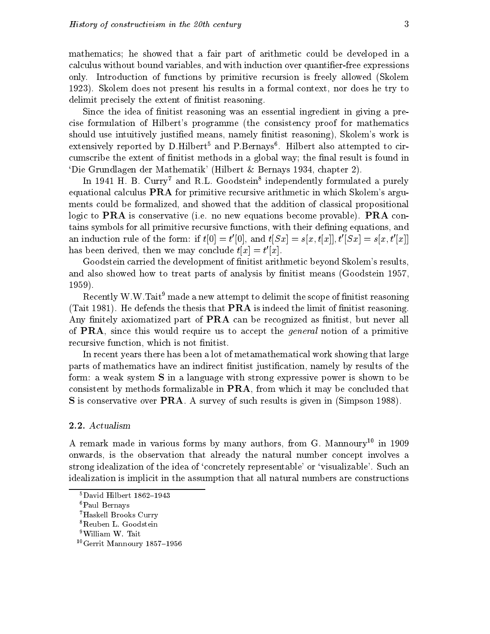mathematics he showed that a fair part of arithmetic could be developed in a calculus without bound variables, and with induction over quantifier-free expressions only. Introduction of functions by primitive recursion is freely allowed (Skolem - Skolem does not present his results in a formal context nor does he try to delimit precisely the extent of finitist reasoning.

Since the idea of finitist reasoning was an essential ingredient in giving a precise formulation of Hilbert's programme (the consistency proof for mathematics should use intuitively justified means, namely finitist reasoning), Skolem's work is extensively reported by D.Hilbert and P.Bernays . Hilbert also attempted to circumscribe the extent of finitist methods in a global way; the final result is found in <u> and a chapter of Mathematic III (Although Bernays - Although the Spi</u>

In 1941 H. D. Curry -and K.L. Goodstein -independently formulated a purely equational calculus **PRA** for primitive recursive arithmetic in which Skolem's arguments could be formalized, and showed that the addition of classical propositional logic to **PRA** is conservative (i.e. no new equations become provable). **PRA** contains symbols for all primitive recursive functions, with their defining equations, and an induction rule of the form: if  $t[\sigma] = t[\sigma],$  and  $t[\sigma x] = s[x, t[x]],$   $t[\sigma x] = s[x, t[x]]$ has been derived, then we may conclude  $t(x) = t(x)$ .

Goodstein carried the development of finitist arithmetic beyond Skolem's results, and also showed how to treat parts of analysis by nitist means Goodstein - ------

Recently W.W.Tait<sup>9</sup> made a new attempt to delimit the scope of finitist reasoning Tait -- He defends the thesis that PRA is indeed the limit of nitist reasoning Any finitely axiomatized part of **PRA** can be recognized as finitist, but never all of PRA, since this would require us to accept the *general* notion of a primitive recursive function, which is not finitist.

In recent years there has been a lot of metamathematical work showing that large parts of mathematics have an indirect finitist justification, namely by results of the form: a weak system S in a language with strong expressive power is shown to be consistent by methods formalizable in PRA from which it may be concluded that  $S$  is conservative over PRA and survey of survey over  $S$  , and  $S$  is given in  $S$  ,  $S$  ,  $S$  ,  $S$ 

### 2.2. Actualism

A remark made in various forms by many authors, from G. Mannoury in 1909 onwards is the observation that already the natural number concept involves a strong idealization of the idea of concretely representable or visualizable Such an idealization is implicit in the assumption that all natural numbers are constructions

<sup>-</sup>David Hilbert 1802-1945

Paul Bernays

<sup>&</sup>lt;sup>7</sup>Haskell Brooks Curry

Reuben L Goodstein

<sup>&</sup>lt;sup>9</sup>William W. Tait

<sup>-</sup> Gerrit Mannoury 1994-1990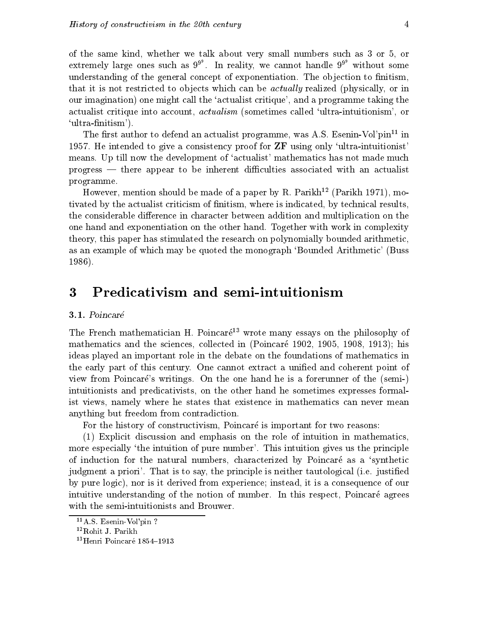of the same kind, whether we talk about very small numbers such as 3 or 5, or extremely large ones such as  $9^{\circ}$ . In reality, we cannot handle  $9^{\circ}$  without some understanding of the general concept of exponentiation. The objection to finitism, that it is not restricted to objects which can be *actually* realized (physically, or in our imagination one might call the actualist critique and a programme taking the ultrainst critique into account, wetwallism points charged this military interesting in the  $\mathbf{u}$  is a set of  $\mathbf{u}$  is a set of  $\mathbf{u}$  is a set of  $\mathbf{u}$  is a set of  $\mathbf{u}$ 

The first author to defend an actualist programme, was A.S. Esenin-Vol'pin<sup>11</sup> in - He intended to give a consistency proof for ZF using only ultra intuitionist means up the development of the development of actualistics mathematics development mathematics has not made m  $p_{\text{rogress}}$   $-$  there appear to be inherent difficulties associated with an actualist programme

However, mention should be made of a paper by R. Parikh  $\llcorner$  (Parikh 1971), motivated by the actualist criticism of finitism, where is indicated, by technical results, the considerable difference in character between addition and multiplication on the one hand and exponentiation on the other hand. Together with work in complexity theory this paper has stimulated the research on polynomially bounded arithmetic as an example of which may be quoted the monograph Bounded Arithmetic Buss ------

#### Predicativism and semi-intuitionism  $\bf{3}$

The French mathematician H. Poincare<sup>--</sup> wrote many essays on the philosophy of mathematics and the sciences collected in Poincare - - - -- his ideas played an important role in the debate on the foundations of mathematics in the early part of this century. One cannot extract a unified and coherent point of view from Poincaré's writings. On the one hand he is a forerunner of the (semi-) intuitionists and predicativists on the other hand he sometimes expresses formal ist views, namely where he states that existence in mathematics can never mean anything but freedom from contradiction

For the history of constructivism, Poincaré is important for two reasons:

- Explicit discussion and emphasis on the role of intuition in mathematics more especially the intuition of pure number This intuition gives us the principle of induction for the natural numbers characterized by Poincare as a synthetic judgment a priori'. That is to say, the principle is neither tautological (i.e. justified by pure logic), nor is it derived from experience; instead, it is a consequence of our intuitive understanding of the notion of number. In this respect, Poincaré agrees with the semi-intuitionists and Brouwer.

 $11A.S. Esenin-Vol'pin?$ 

<sup>&</sup>lt;sup>12</sup>Rohit J. Parikh

<sup>- -</sup> Henri Poincare 1894-1913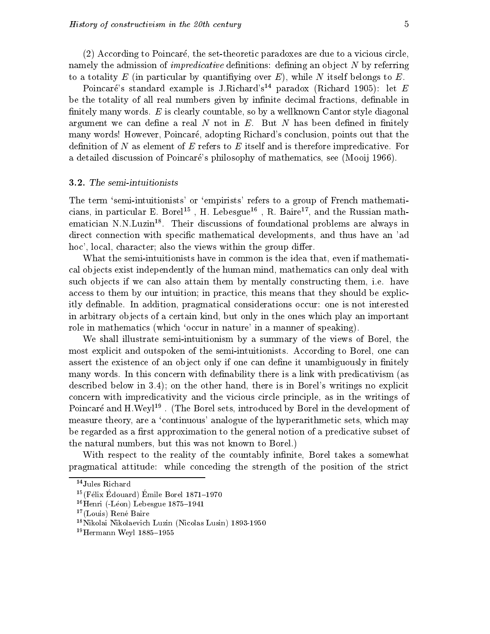$(2)$  According to Poincaré, the set-theoretic paradoxes are due to a vicious circle, namely the admission of *impredicative* definitions: defining an object  $N$  by referring to a totality E (in particular by quantifying over  $E$ ), while N itself belongs to E.

Poincare s standard example is J.Kichard s<sup>--</sup> paradox (Kichard 1905): let  $E$ be the totality of all real numbers given by infinite decimal fractions, definable in finitely many words.  $E$  is clearly countable, so by a wellknown Cantor style diagonal argument we can define a real  $N$  not in  $E$ . But  $N$  has been defined in finitely many words! However, Poincaré, adopting Richard's conclusion, points out that the definition of N as element of E refers to E itself and is therefore impredicative. For a dettailed discussion of Poincares see Moontares philosophy of mathematics see Moontares see Mooil - Moontare

## **3.2.** The semi-intuitionists

The term semi intuitionists or empirists refers to a group of French mathemati cians, in particular E. Borel<sup>15</sup>, H. Lebesgue<sup>16</sup>, R. Baire<sup>17</sup>, and the Russian mathematician N.N.Luzin<sup>--</sup>. Their discussions of foundational problems are always in direct connection with specific mathematical developments, and thus have an 'ad hoc', local, character; also the views within the group differ.

What the semi-intuitionists have in common is the idea that, even if mathematical objects exist independently of the human mind, mathematics can only deal with such objects if we can also attain them by mentally constructing them, i.e. have access to them by our intuition; in practice, this means that they should be explicitly definable. In addition, pragmatical considerations occur: one is not interested in arbitrary objects of a certain kind, but only in the ones which play an important role in mathematics which occur in nature in a manner of speaking

We shall illustrate semi-intuitionism by a summary of the views of Borel, the most explicit and outspoken of the semi-intuitionists. According to Borel, one can assert the existence of an object only if one can define it unambiguously in finitely many words. In this concern with definability there is a link with predicativism (as described below in  $3.4$ ; on the other hand, there is in Borel's writings no explicit concern with impredicativity and the vicious circle principle as in the writings of Poincaré and H. Weyl<sup>19</sup>. (The Borel sets, introduced by Borel in the development of measure theory are a continuous analogue of the hyperarithmetic sets which may be regarded as a first approximation to the general notion of a predicative subset of the natural numbers, but this was not known to Borel.)

With respect to the reality of the countably infinite, Borel takes a somewhat pragmatical attitude while conceding the strength of the position of the strict

 $^{14}\mathrm{J}$ ules Richard

 $\sim$ (relix Edouard) Emile Borel 1871–1970  $\sim$ 

<sup>...</sup> Henri I - Peoni Pepesgue 1919–1941

 $17$ (Louis) René Baire

<sup>-</sup> Nikolai Nikolaevich Luzin (Nicolas Lusin) 1893-1950

<sup>-</sup> Hermann weyl 1009-1999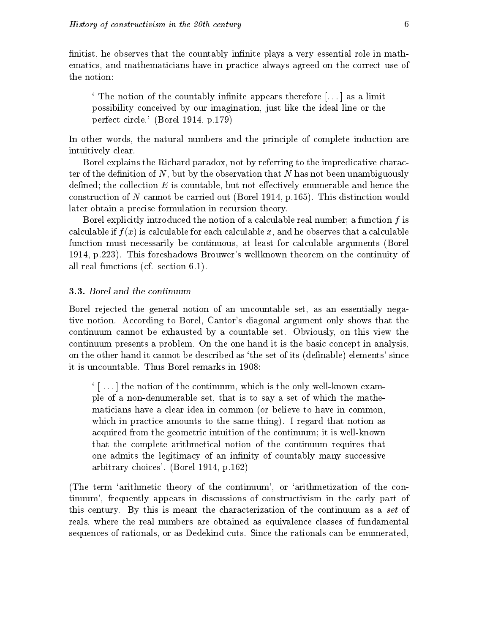finitist, he observes that the countably infinite plays a very essential role in mathematics and mathematicians have in practice always agreed on the correct use of the notion

The notion of the countable intervals the countable intervals the countable appears the countable intervals of the countable  $\mathbf{I}$ possibility conceived by our imagination, just like the ideal line or the perfect circle borel  $\mathcal{A}$  . The presentation of the properties of the presentation of the properties of the properties of the properties of the properties of the properties of the properties of the properties of the p

In other words, the natural numbers and the principle of complete induction are intuitively clear

Borel explains the Richard paradox, not by referring to the impredicative character of the definition of N, but by the observation that N has not been unambiguously defined; the collection  $E$  is countable, but not effectively enumerable and hence the construction of N cannot be carried out Borel - Department be carried out Borel - Department be carried out Bo later obtain a precise formulation in recursion theory

Borel explicitly introduced the notion of a calculable real number; a function  $f$  is calculable if  $f(x)$  is calculable for each calculable x, and he observes that a calculable function must necessarily be continuous, at least for calculable arguments (Borel -- p This foreshadows Brouwers wellknown theorem on the continuity of all real functions can functions can functions constructions can functions  $\mathbf{f}$ 

# **3.3.** Borel and the continuum

Borel rejected the general notion of an uncountable set, as an essentially negative notion. According to Borel, Cantor's diagonal argument only shows that the continuum cannot be exhausted by a countable set Obviously on this view the continuum presents a problem. On the one hand it is the basic concept in analysis, the the contract hand it cannot be described as an only its described as  $\alpha$  is denoted as  $\alpha$ 

the notion of the continuum which is the only well as the only well assembly well as the only well as  $\alpha$ ple of a non-denumerable set, that is to say a set of which the mathematicians have a clear idea in common (or believe to have in common, which in practice amounts to the same thing. I regard that notion as acquired from the geometric intuition of the continuum; it is well-known that the complete arithmetical notion of the continuum requires that one admits the legitimacy of an infinity of countably many successive arbitrary choices Borel -- p-

The term  $\mathbf{r}$ tinuum', frequently appears in discussions of constructivism in the early part of this century. By this is meant the characterization of the continuum as a set of reals where the real numbers are obtained as equivalence classes of fundamental sequences of rationals, or as Dedekind cuts. Since the rationals can be enumerated,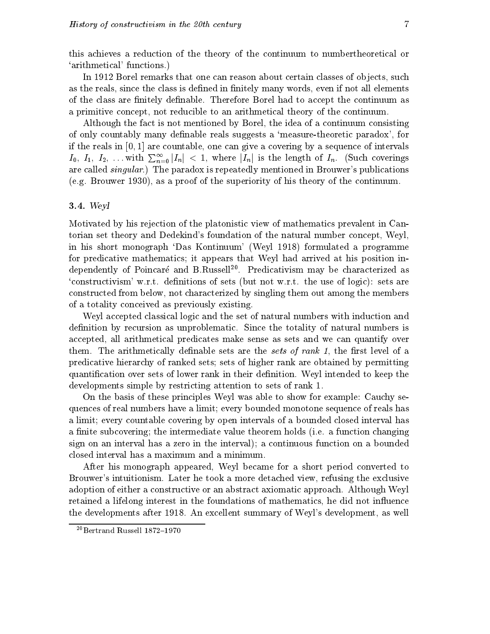this achieves a reduction of the theory of the continuum to numbertheoretical or arithmetical functions in the set of  $\mathcal{L}_{\mathcal{A}}$ 

In - Borel remarks that one can remark that one can reason about certain classes of observed about certain classes as the reals, since the class is defined in finitely many words, even if not all elements of the class are finitely definable. Therefore Borel had to accept the continuum as a primitive concept, not reducible to an arithmetical theory of the continuum.

Although the fact is not mentioned by Borel, the idea of a continuum consisting of only counterly many determined reals suggests a measure contract paradox ( ) is if the real state one countervals in  $\mathcal{M}$  are contable one can give a sequence of intervals by a sequence of intervals by a sequence of intervals by a sequence of intervals by a sequence of intervals by a sequence of  $I_0, I_1, I_2, \ldots$  with  $\sum_{n=0}^{\infty} |I_n| < 1$ , where  $|I_n|$  is the length of  $I_n$ . (Such coverings are called  $singular$ .) The paradox is repeatedly mentioned in Brouwer's publications ego brouwer - as a proof of the superiority of the superiority of the continuum of the continuum  $\mathcal{L}$ 

# **3.4.** Weyl

Motivated by his rejection of the platonistic view of mathematics prevalent in Can torian set theory and Dedekind's foundation of the natural number concept, Weyl, in his short monograph Das Kontinuum Weyl -- formulated a programme for predicative mathematics
 it appears that Weyl had arrived at his position in dependently of Poincare and B.Kussell<sup>--</sup>. Predicativism may be characterized as constructivism wrt denitions of sets but not wrt the use of logic sets are constructed from below not characterized by singling them out among the members of a totality conceived as previously existing

Weyl accepted classical logic and the set of natural numbers with induction and definition by recursion as unproblematic. Since the totality of natural numbers is accepted, all arithmetical predicates make sense as sets and we can quantify over them. The arithmetically definable sets are the *sets of rank 1*, the first level of a predicative hierarchy of ranked sets; sets of higher rank are obtained by permitting quantification over sets of lower rank in their definition. Weyl intended to keep the developments simple by restricting attention to sets of rank -

On the basis of these principles Weyl was able to show for example: Cauchy sequences of real numbers have a limit
 every bounded monotone sequence of reals has a limit
 every countable covering by open intervals of a bounded closed interval has a finite subcovering; the intermediate value theorem holds (i.e. a function changing sign on an interval has a zero in the interval; a continuous function on a bounded closed interval has a maximum and a minimum

After his monograph appeared, Weyl became for a short period converted to Brouwer's intuitionism. Later he took a more detached view, refusing the exclusive adoption of either a constructive or an abstract axiomatic approach Although Weyl retained a lifelong interest in the foundations of mathematics, he did not influence the developments after -- An excellent summary of Weyls development as well

<sup>-</sup> Bertrand Russen 1872-1970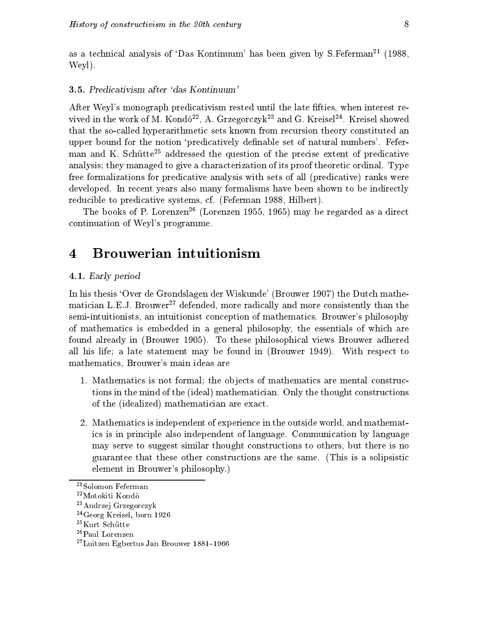as a technical analysis of Das Kontinuum has been given by Streierman - (1988, Weyl).

After Weyl's monograph predicativism rested until the late fifties, when interest revived in the work of M. Kondo--, A. Grzegorczyk-- and G. Kreisel--. Kreisel showed that the so-called hyperarithmetic sets known from recursion theory constituted an upper bound for the notion predicatively denable set of natural numbers Fefer man and K. Schütte<sup>25</sup> addressed the question of the precise extent of predicative analysis; they managed to give a characterization of its proof theoretic ordinal. Type free formalizations for predicative analysis with sets of all (predicative) ranks were developed. In recent years also many formalisms have been shown to be indirectly reducible to predicative systems for the feferman relative setting the system of  $\mathcal{L}_1$ 

The books of P. Lorenzen<sup>-</sup> (Lorenzen 1955, 1965) may be regarded as a direct continuation of Weyl's programme.

#### Brouwerian intuitionism 4

# -Early periodic periodic periodic periodic periodic periodic periodic periodic periodic periodic periodic periodic periodic periodic periodic periodic periodic periodic periodic periodic periodic periodic periodic periodic

In his thesis Over de Grondslagen der Wiskunde Brouwer - the Dutch mathe matician L.E.J. Brouwer<sup>27</sup> defended, more radically and more consistently than the semi-intuitionists, an intuitionist conception of mathematics. Brouwer's philosophy of mathematics is embedded in a general philosophy the essentials of which are found already in Brouwer - To these philosophical views Brouwer adhered all his life a late statement may be found in Brouwer - With respect to mathematics, Brouwer's main ideas are

- Mathematics is not formal
 the ob jects of mathematics are mental construc tions in the mind of the (ideal) mathematician. Only the thought constructions of the (idealized) mathematician are exact.
- 2. Mathematics is independent of experience in the outside world, and mathematics is in principle also independent of language Communication by language may serve to suggest similar thought constructions to others, but there is no guarantee that these other constructions are the same. (This is a solipsistic element in Brouwer's philosophy.)

 $\rm ^{21}S$ olomon Feferman

<sup>&</sup>lt;sup>22</sup> Motokiti Kondô

<sup>-</sup>Andrzej Grzegorczyk

<sup>&</sup>lt;sup>-</sup> Georg Kreisel, born 1920

 $^{25}\rm{K}$ urt Schütte

<sup>&</sup>lt;sup>26</sup> Paul Lorenzen

<sup>-</sup> Luitzen Egbertus Jan Brouwer 1881–1900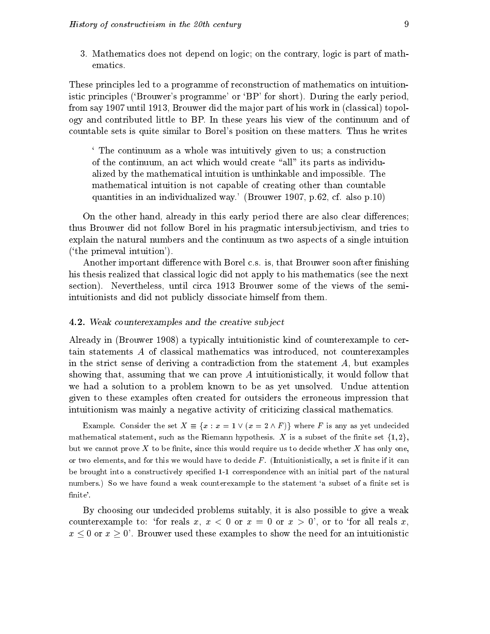3. Mathematics does not depend on logic; on the contrary, logic is part of mathematics

These principles led to a programme of reconstruction of mathematics on intuition istic principles Brouwers programme or BP for short During the early period from say - until -- Brouwer did the ma jor part of his work in classical topol ogy and contributed little to BP In these years his view of the continuum and of countable sets is quite similar to Borel's position on these matters. Thus he writes

The continuum as a whole was intuitively given to use  $\mathbb{R}$  . The construction to use  $\mathbb{R}$ of the continuum, an act which would create "all" its parts as individualized by the mathematical intuition is unthinkable and impossible The mathematical intuition is not capable of creating other than countable quantities in an individualized way Broughton individualized way Broughton in an individualized way Broughton in

On the other hand, already in this early period there are also clear differences; thus Brouwer did not follow Borel in his pragmatic intersub jectivism and tries to explain the natural numbers and the continuum as two aspects of a single intuition the prime value interesting into the prime of  $\mathcal{L}_1$ 

Another important difference with Borel c.s. is, that Brouwer soon after finishing his thesis realized that classical logic did not apply to his mathematics (see the next section Newer Section Newer some of the views of the views of the views of the semiintuitionists and did not publicly dissociate himself from them

## Weak counterexamples and the creative sub ject

a the two products in a typically interesting the counterest countered to contemple to certain tain statements  $A$  of classical mathematics was introduced, not counterexamples in the strict sense of deriving a contradiction from the statement  $A$ , but examples showing that, assuming that we can prove  $\tilde{A}$  intuitionistically, it would follow that we had a solution to a problem known to be as yet unsolved. Undue attention given to these examples often created for outsiders the erroneous impression that intuitionism was mainly a negative activity of criticizing classical mathematics

Example. Consider the set  $X \equiv \{x : x = 1 \vee (x = 2 \wedge F)\}$  where F is any as yet undecided mathematical statement, such as the Riemann hypothesis. X is a subset of the finite set  $\{1,2\}$ , but we cannot prove  $X$  to be finite, since this would require us to decide whether  $X$  has only one, or two elements, and for this we would have to decide  $F$ . (Intuitionistically, a set is finite if it can be brought into a constructively specied -- correspondence with an initial part of the natural numbers.) So we have found a weak counterexample to the statement 'a subset of a finite set is finite'.

By choosing our undecided problems suitably, it is also possible to give a weak counterexample to for reals x x or x or x or to for all reals x x or x Brouwer used these examples to show the need for an intuitionistic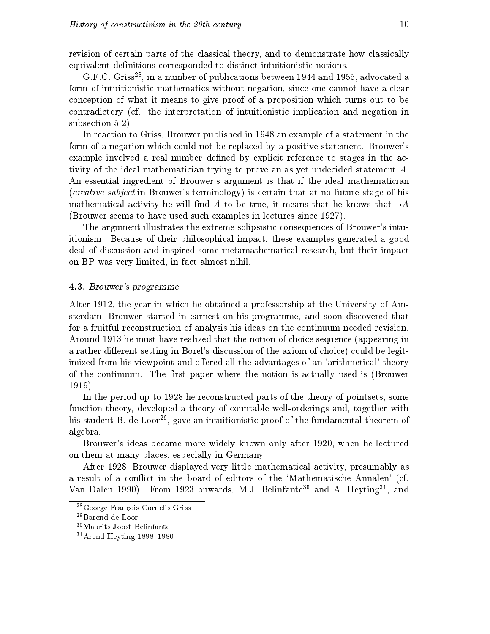revision of certain parts of the classical theory and to demonstrate how classically equivalent definitions corresponded to distinct intuitionistic notions.

G.F.C. Griss  $\gamma$ , in a number of publications between 1944 and 1955, advocated a form of intuitionistic mathematics without negation, since one cannot have a clear conception of what it means to give proof of a proposition which turns out to be contradictory (cf. the interpretation of intuitionistic implication and negation in subsection  $5.2$ ).

In reaction to Griss Brouwer published in - an example of a statement in the form of a negation which could not be replaced by a positive statement. Brouwer's example involved a real number defined by explicit reference to stages in the activity of the ideal mathematician trying to prove an as yet undecided statement A An essential ingredient of Brouwer's argument is that if the ideal mathematician (*creative subject* in Brouwer's terminology) is certain that at no future stage of his mathematical activity he will find A to be true, it means that he knows that  $\neg A$ Brouwer seems to have used such examples in lectures since -

The argument illustrates the extreme solipsistic consequences of Brouwer's intuitionism. Because of their philosophical impact, these examples generated a good deal of discussion and inspired some metamathematical research but their impact on BP was very limited, in fact almost nihil.

## 4.3. Brouwer's programme

After -- the year in which he obtained a professorship at the University of Am sterdam, Brouwer started in earnest on his programme, and soon discovered that for a fruitful reconstruction of analysis his ideas on the continuum needed revision Around -- he must have realized that the notion of choice sequence appearing in a rather different setting in Borel's discussion of the axiom of choice) could be legitimized from his viewpoint and oered all the advantages of an arithmetical theory of the continuum. The first paper where the notion is actually used is (Brouwer --

In the period up to - he reconstructed parts of the theory of pointsets some function theory, developed a theory of countable well-orderings and, together with his student B, de Loor<sup>29</sup>, gave an intuitionistic proof of the fundamental theorem of algebra

Brouwers ideas became more widely known only after - when he lectured on them at many places, especially in Germany.

After - Brouwer displayed very little mathematical activity presumably as a result in the board of the board of the board of the annalence changed and the  $\mathcal{A}$ van Dalen 1990). From 1925 onwards, M.J. Deliniante<sup>--</sup> and A. Heyting--, and

<sup>&</sup>lt;sup>28</sup> George François Cornelis Griss

<sup>&</sup>lt;sup>29</sup> Barend de Loor

<sup>-</sup> Maurits Joost Belinfante

<sup>-</sup> Arend Heyting 1898–1980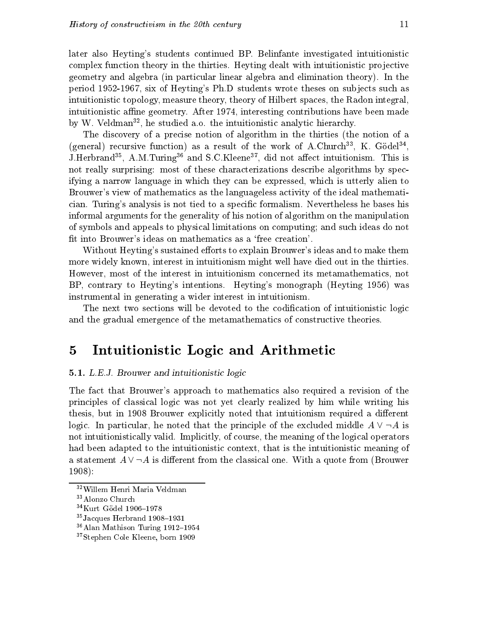later also Heyting's students continued BP. Belinfante investigated intuitionistic complex function theory in the thirties. Heyting dealt with intuitionistic projective geometry and algebra (in particular linear algebra and elimination theory). In the period - six of Heytings PhD students wrote the substitution in substitution as a substitution of the substitu intuitionistic topology measure theory theory of Hilbert spaces the Radon integral intuitionistic ane geometry After - interesting contributions have been made by W. Veldman<sup>--</sup>, he studied a.o. the intuitionistic analytic hierarchy.

The discovery of a precise notion of algorithm in the thirties (the notion of a (general) recursive function) as a result of the work of A.Church-F, K. Godel-F, J.Herbrand-b, A.M. Turing-t and S.C.Kleene-b, did not affect intuitionism. This is not really surprising: most of these characterizations describe algorithms by specifying a narrow language in which they can be expressed, which is utterly alien to Brouwer's view of mathematics as the languageless activity of the ideal mathematician. Turing's analysis is not tied to a specific formalism. Nevertheless he bases his informal arguments for the generality of his notion of algorithm on the manipulation of symbols and appeals to physical limitations on computing
 and such ideas do not

Without Heyting's sustained efforts to explain Brouwer's ideas and to make them more widely known, interest in intuitionism might well have died out in the thirties. However, most of the interest in intuitionism concerned its metamathematics, not BP contrary to Heytings intentions Heytings monograph Heyting - was instrumental in generating a wider interest in intuitionism

The next two sections will be devoted to the codification of intuitionistic logic and the gradual emergence of the metamathematics of constructive theories

# 5 Intuitionistic Logic and Arithmetic

# - LEJ Brouwer and intuitionistic logic

The fact that Brouwer's approach to mathematics also required a revision of the principles of classical logic was not yet clearly realized by him while writing his thesis but in - Brouwer explicitly noted that intuitionism required a dierent logic. In particular, he noted that the principle of the excluded middle  $A \vee \neg A$  is not intuitionistically valid. Implicitly, of course, the meaning of the logical operators had been adapted to the intuitionistic context, that is the intuitionistic meaning of a statement  $A \vee \neg A$  is different from the classical one. With a quote from (Brouwer ------

<sup>-</sup>Willem Henri Maria Veldman

<sup>-</sup>-Alonzo Church

 $\sim$  while  $\sim$  000  $\sim$  1910  $\sim$  1910  $\sim$ 

<sup>--</sup> Jacques Herbrand 1900–1991

<sup>.</sup> Alan Mathison Turing 1912–1954

 $\sim$  Stephen Cole Kleene, born 1909.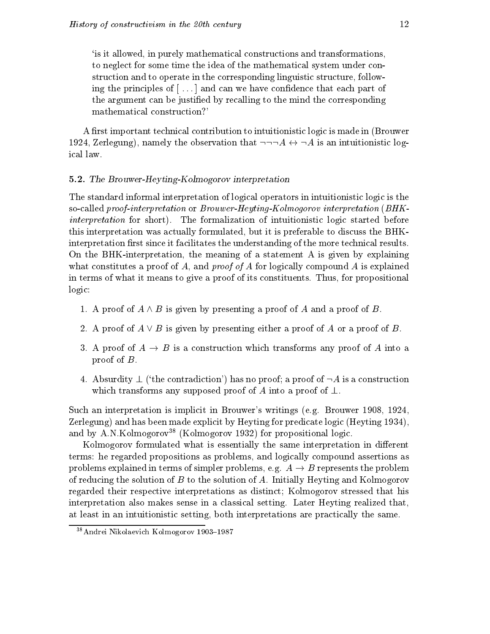is it allowed in purely mathematical constructions and transformations to neglect for some time the idea of the mathematical system under con struction and to operate in the corresponding linguistic structure, following the principles of  $\lceil \ldots \rceil$  and can we have confidence that each part of the argument can be justied by recalling to the mind the corresponding mathematical construction?

A first important technical contribution to intuitionistic logic is made in (Brouwer  $\mathcal{L} = \mathcal{L} = \mathcal{L} = \mathcal{L} = \mathcal{L} = \mathcal{L} = \mathcal{L} = \mathcal{L} = \mathcal{L} = \mathcal{L} = \mathcal{L} = \mathcal{L} = \mathcal{L} = \mathcal{L} = \mathcal{L} = \mathcal{L} = \mathcal{L} = \mathcal{L} = \mathcal{L} = \mathcal{L} = \mathcal{L} = \mathcal{L} = \mathcal{L} = \mathcal{L} = \mathcal{L} = \mathcal{L} = \mathcal{L} = \mathcal{L} = \mathcal{L} = \mathcal{L} = \mathcal{L} = \mathcal$ ical law

# **5.2.** The Brouwer-Heyting-Kolmogorov interpretation

The standard informal interpretation of logical operators in intuitionistic logic is the so-called proof-interpretation or Brouwer-Heyting-Kolmogorov interpretation (BHKinterpretation for short The formalization of intuitionistic logic started before this interpretation was actually formulated, but it is preferable to discuss the BHKinterpretation first since it facilitates the understanding of the more technical results. On the BHK-interpretation, the meaning of a statement A is given by explaining what constitutes a proof of A, and *proof of A* for logically compound A is explained in terms of what it means to give a proof of its constituents Thus for propositional logic

- A proof of A B is given by presenting a proof of A and a proof of B
- 2. A proof of  $A \vee B$  is given by presenting either a proof of A or a proof of B.
- a is a proof of A B is a construction which transforms any proof of A into any proof of  $\mathcal{A}$ proof of B
- Absurdity the contradiction has no proof
 a proof of A is a construction which transforms any supposed proof of A into a proof of  $\perp$ .

such an interpretation is implicited in Brouwers writings equations with  $\mathcal{L} = \mathcal{L} = \mathcal{L} = \mathcal{L}$ Zerlegung and has been made explicit by Heyting for predicate logic Heyting and by A.N.Kolmogorov<sup>--</sup> (Kolmogorov 1932) for propositional logic.

Kolmogorov formulated what is essentially the same interpretation in different terms: he regarded propositions as problems, and logically compound assertions as problems explained in terms of simpler problems eg A - B represents the problem of reducing the solution of  $B$  to the solution of  $A$ . Initially Heyting and Kolmogorov regarded their respective interpretations as distinct; Kolmogorov stressed that his interpretation also makes sense in a classical setting. Later Heyting realized that, at least in an intuitionistic setting, both interpretations are practically the same.

<sup>-</sup> Andrei Nikolaevich Kolmogorov 1903–1987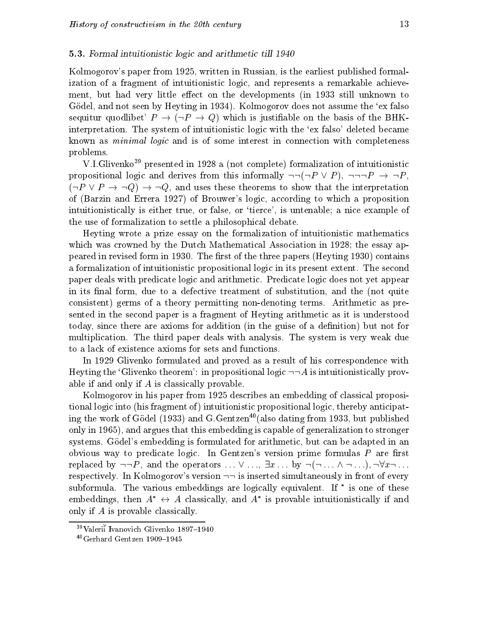# **5.3.** Formal intuitionistic logic and arithmetic till 1940

Kolmogorovs paper from - written in Russian is the earliest published formal ization of a fragment of intuitionistic logic, and represents a remarkable achievement but had very little eers in a still unknown to but had very little eers in - still unknown to but had very a care, code does not see hy Herythan Heyting in - assume the second contract the second contract the contract sequethe quotherness and a proportional position in the basis of the BHK is defined as  $\sim$ interpretation The system of interpretation  $\mathbf{r}$ known as minimal logic and is of some interest in connection with completeness problems

villenko- presented in 1928 a (not complete) formalization of intuitionistic proposition is a contract derive from this informally proposition  $\mathbf{P} = \{ \mathbf{P} \mid \mathbf{P} \mathbf{P} \}$  $P$  -  $P$  -  $Q$  -  $Q$  -  $Q$  and uses the interpretation to show the interpretation. of Barzin and Errera - of Brouwers logic according to which a proposition intuitionistically is either true or false or false or false or false or false or false or false or false or f the use of formalization to settle a philosophical debate

Heyting wrote a prize essay on the formalization of intuitionistic mathematics which was crowned by the Dutch Mathematical Association in - Dutch Mathematical Association in - Dutch Mathematical Association in - Dutch Mathematical Association in - Dutch Mathematical Association in - Dutch Mathematica peared in revised for the three papers Heyting -  $\mathbf{r}$  and  $\mathbf{r}$  -  $\mathbf{r}$  -  $\mathbf{r}$  -  $\mathbf{r}$  -  $\mathbf{r}$  -  $\mathbf{r}$  -  $\mathbf{r}$  -  $\mathbf{r}$  -  $\mathbf{r}$  -  $\mathbf{r}$  -  $\mathbf{r}$  -  $\mathbf{r}$  -  $\mathbf{r}$  -  $\mathbf{r}$  -  $\mathbf{$ a formalization of intuitionistic propositional logic in its present extent. The second paper deals with predicate logic and arithmetic Predicate logic does not yet appear in its final form, due to a defective treatment of substitution, and the (not quite consistent) germs of a theory permitting non-denoting terms. Arithmetic as presented in the second paper is a fragment of Heyting arithmetic as it is understood today, since there are axioms for addition (in the guise of a definition) but not for multiplication The third paper deals with analysis The system is very weak due to a lack of existence axioms for sets and functions

In - Glivenko formulated and proved as a result of his correspondence with Heyting the Glivenko theorem in propositional logic A is intuitionistically prov able if and only if A is classically provable

Kolmogorov in his paper from - describes an embedding of classical proposi tional logic into (his fragment of) intuitionistic propositional logic, thereby anticipating the work of Godel (1955) and G.Gentzen - (also dating from 1955, but published only in - and argues that this embedding is capable of generalization to stronger systems. Gödel's embedding is formulated for arithmetic, but can be adapted in an obvious way to predicate logic. In Gentzen's version prime formulas  $P$  are first replaced by  $\neg\neg P$ , and the operators  $\dots \vee \dots$ ,  $\exists x \dots$  by  $\neg(\neg \dots \wedge \neg \dots)$ ,  $\neg \forall x \neg \dots$ respectively. In Kolmogorov's version  $\neg\neg$  is inserted simultaneously in front of every subformula. The various embeddings are logically equivalent. If - is one of these embeddings, then  $A\ \leftrightarrow\ A$  classically, and  $A$  is provable intuitionistically if and only if  $A$  is provable classically.

 $\sim$  valerii Tvanovich Glivenko T897–1940  $-$ 

 $40$ Gerhard Gentzen 1909-1945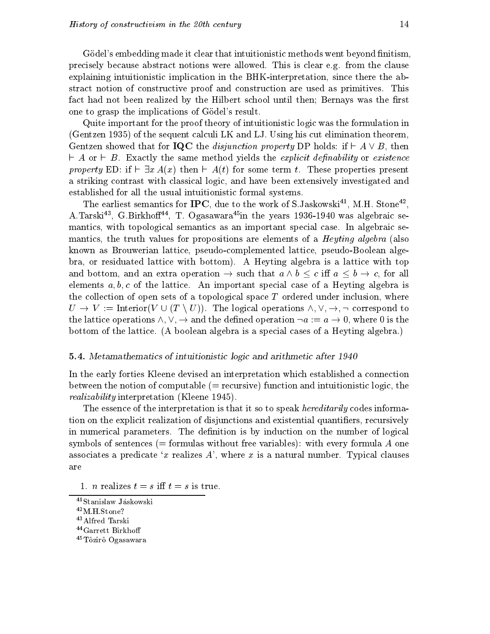$G$ ödel's embedding made it clear that intuitionistic methods went beyond finitism, precisely because abstract notions were allowed. This is clear e.g. from the clause explaining intuitionistic implication in the BHK-interpretation, since there the abstract notion of constructive proof and construction are used as primitives. This fact had not been realized by the Hilbert school until then; Bernays was the first one to grasp the implications of Godel's result.

Quite important for the proof theory of intuitionistic logic was the formulation in , calculate the sequent calculi Library calculi Library and Library theorem theorem theorem is constanting the Gentzen showed that for **IQC** the *disjunction property* DP holds: if  $\vdash A \lor B$ , then  $\Box$  A or  $\Box$   $D$ . Exactly the same method yields the explicit definitionity or existence  $p \mapsto p \mapsto q$  is a some term that  $p \mapsto q$  is some vector  $q$ . These properties presents a striking contrast with classical logic and have been extensively investigated and established for all the usual intuitionistic formal systems

The earliest semantics for IPC, due to the work of S.Jaskowski<sup>41</sup>, M.H. Stone<sup>42</sup>, A. Larski<sup>--</sup>, G.Birkhon<sup>--</sup>, T. Ogasawara<sup>--</sup>ill the years 1930-1940 was algebraic semantics, with topological semantics as an important special case. In algebraic semantics, the truth values for propositions are elements of a  $Heyting$  algebra (also known as Brouwerian lattice, pseudo-complemented lattice, pseudo-Boolean algebra, or residuated lattice with bottom. A Heyting algebra is a lattice with top and a bottom and an extra operation - such that a bottom - such that a bottom - such that a bottom - such that elements  $a, b, c$  of the lattice. An important special case of a Heyting algebra is the collection of open sets of a topological space  $T$  ordered under inclusion, where u - V - Interiorum in U The logical operations is the logical operations of the logical operations of the logic the lattice operations is the decrease operation operations in the decrease of the decrease of the state of th bottom of the lattice.  $(A \text{ boolean algebra is a special cases of a Heyting algebra})$ 

# **5.4.** Metamathematics of intuitionistic logic and arithmetic after 1940

In the early forties Kleene devised an interpretation which established a connection between the notion of computable  $($  = recursive) function and intuitionistic logic, the realizability interpretations (interesting its  $\mathcal{L}$ 

The essence of the interpretation is that it so to speak *hereditarily* codes information on the explicit realization of disjunctions and existential quantifiers, recursively in numerical parameters. The definition is by induction on the number of logical symbols of sentences  $($  = formulas without free variables $)$ : with every formula A one associates a predicate x realizes A where x is a natural number Typical clauses are

<sup>&</sup>lt;sup>41</sup>Stanislaw Jáskowski

 $42$  M.H.Stone?

<sup>-</sup>Alfred Tarski

<sup>&</sup>lt;sup>44</sup>Garrett Birkhoff

 $45$ Tôzirô Ogasawara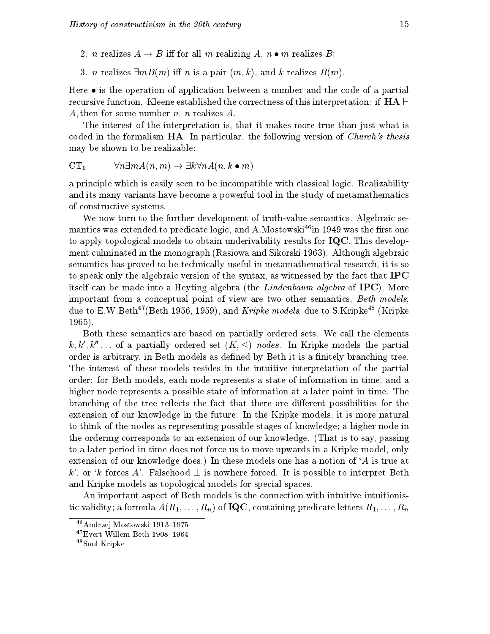- n realizes a B For all m realizing A n realizes a n realize B
- 3. *n* realizes  $\exists m B(m)$  iff *n* is a pair  $(m, k)$ , and k realizes  $B(m)$ .

Here  $\bullet$  is the operation of application between a number and the code of a partial recursive function. Kleene established the correctness of this interpretation: if  $HA \vdash$ A, then for some number  $n, n$  realizes  $A$ .

The interest of the interpretation is that it makes more true than just what is coded in the formalism  $HA$ . In particular, the following version of *Church's thesis* may be shown to be realizable

$$
CT_0 \qquad \forall n \exists m A(n,m) \rightarrow \exists k \forall n A(n,k\bullet m)
$$

a principle which is easily seen to be incompatible with classical logic. Realizability and its many variants have become a powerful tool in the study of metamathematics of constructive systems

We now turn to the further development of truth-value semantics. Algebraic se $m$ antics was extended to predicate logic, and  $A. M$ ostowski $^{-1}$ in 1949 was the first one m to apply topological models to obtain underivability results for  $IQC$ . This development culminated in the monograph Rasion and Sikorski - Constant in the monograph  $\alpha$ semantics has proved to be technically useful in metamathematical research it is so to speak only the algebraic version of the syntax as witnessed by the fact that IPC itself can be made into a Heyting algebra (the Lindenbaum algebra of  $IPC$ ). More important from a conceptual point of view are two other semantics, Beth models, due to E.W. Deth  $\Box$  (Deth 1900, 1909), and  $\Lambda$ *ripke models*, due to S.M. Three  $\Box$  (M. Three -

Both these semantics are based on partially ordered sets We call the elements  $\kappa, \kappa$  ,  $\kappa$  ... of a partially ordered set  $(\mathbf{\Lambda}, \leq)$  nodes. In Kripke models the partial order is arbitrary, in Beth models as defined by Beth it is a finitely branching tree. The interest of these models resides in the intuitive interpretation of the partial order: for Beth models, each node represents a state of information in time, and a higher node represents a possible state of information at a later point in time. The branching of the tree reflects the fact that there are different possibilities for the extension of our knowledge in the future. In the Kripke models, it is more natural to think of the nodes as representing possible stages of knowledge; a higher node in the ordering corresponds to an extension of our knowledge. (That is to say, passing to a later period in time does not force us to move upwards in a Kripke model, only extension of the extension of our theory and these models ones a notion of the set of the set  $\mathbb{R}^n$ k or k forces A Falsehood is nowhere forced It is possible to interpret Beth and Kripke models as topological models for special spaces

An important aspect of Beth models is the connection with intuitive intuitionis tic validity; a formula  $A(R_1, \ldots, R_n)$  of **IQC**, containing predicate letters  $R_1, \ldots, R_n$ 

<sup>-</sup> Andrzej Mostowski 1919–1979

 $\sim$  D  $\mu$ git - M illem Detii - 1900–1904

<sup>&</sup>lt;sup>48</sup>Saul Kripke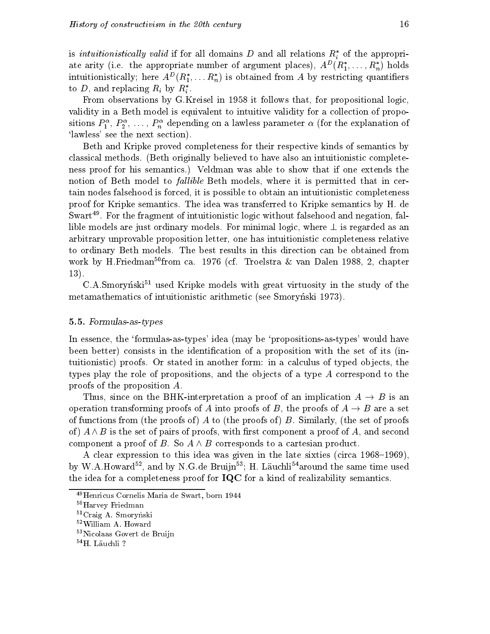is *intuitionistically valid* if for all domains  $D$  and all relations  $n_i$  of the appropriate arity (i.e. the appropriate number of argument places),  $A^-(R_1,\ldots,R_n)$  holds intuitionistically; here  $A^-(R_1,\ldots R_n)$  is obtained from A by restricting quantifiers to  $D$ , and replacing  $R_i$  by  $R_i$ .

From observations by GKreisel in - it follows that for propositional logic validity in a Beth model is equivalent to intuitive validity for a collection of propo sitions  $P_1^*, P_2^*, \ldots, P_n^*$  depending on a lawless parameter  $\alpha$  (for the explanation of lawless see the next section section and  $\mathcal{C}$ 

Beth and Kripke proved completeness for their respective kinds of semantics by classical methods. (Beth originally believed to have also an intuitionistic completeness proof for his semantics.) Veldman was able to show that if one extends the notion of Beth model to *fallible* Beth models, where it is permitted that in certain nodes falsehood is forced, it is possible to obtain an intuitionistic completeness proof for Kripke semantics. The idea was transferred to Kripke semantics by H. de Swart<sup>49</sup>. For the fragment of intuitionistic logic without falsehood and negation, fallible models are just ordinary models. For minimal logic, where  $\perp$  is regarded as an arbitrary unprovable proposition letter, one has intuitionistic completeness relative to ordinary Beth models. The best results in this direction can be obtained from work by H.Friedman<sup>.</sup> Trom ca. 1970 (cf. Troelstra & van Dalen 1988, 2, chapter -

 $C.A.$ Smoryński<sup>51</sup> used Kripke models with great virtuosity in the study of the metamathematics of intuitionistic arithmetic see Smorynski -

# 5.5. Formulas-as-types

In essence the formulas as types idea may be propositions as types would have been better) consists in the identification of a proposition with the set of its (intuitionistic) proofs. Or stated in another form: in a calculus of typed objects, the types play the role of propositions, and the objects of a type  $A$  correspond to the proofs of the proposition A

Thus since on the BHK interpretation a proof of an implication A - Bis an operation transforming proofs of A into proofs of B the proofs of A - B are a set of functions from (the proofs of) A to (the proofs of) B. Similarly, (the set of proofs of)  $A \wedge B$  is the set of pairs of proofs, with first component a proof of A, and second component a proof of B. So  $A \wedge B$  corresponds to a cartesian product.

A clear expression to this idea was given in the late sixties circa  $\mathbf{A}$  clear expression in the late sixties circa  $\mathbf{A}$ by W.A.Howard<sup>--</sup>, and by N.G.de Bruijn-1; H. Lauchli-faround the same time used the idea for a completeness proof for IQC for a kind of realizability semantics.

<sup>-</sup> Henricus Cornelis Maria de Swart, born 1944

<sup>&</sup>lt;sup>50</sup>Harvey Friedman

<sup>&</sup>lt;sup>51</sup>Craig A. Smoryński

William A Howard

<sup>-</sup>Nicolaas Govert de Bruijn

 $54$ H. Läuchli?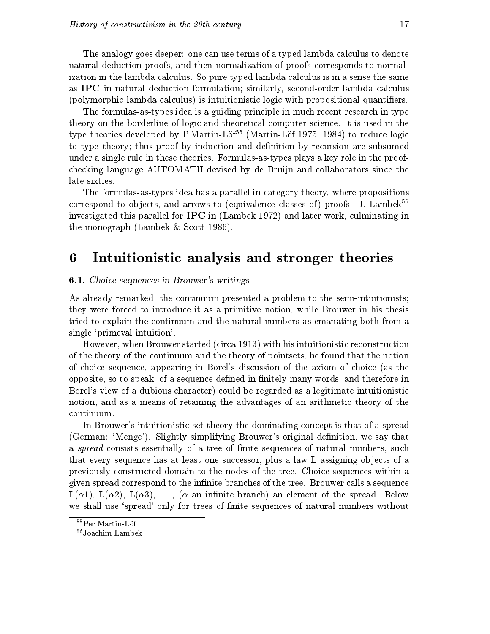The analogy goes deeper: one can use terms of a typed lambda calculus to denote natural deduction proofs and then normalization of proofs corresponds to normal ization in the lambda calculus. So pure typed lambda calculus is in a sense the same as IPC in natural deduction formulation; similarly, second-order lambda calculus (polymorphic lambda calculus) is intuitionistic logic with propositional quantifiers.

The formulas-as-types idea is a guiding principle in much recent research in type theory on the borderline of logic and theoretical computer science It is used in the type theories developed by P.Martin-Loff (Martin-Lof 1975, 1984) to reduce logic  $\blacksquare$ to type theory; thus proof by induction and definition by recursion are subsumed under a single rule in these theories. Formulas-as-types plays a key role in the proofchecking language AUTOMATH devised by de Bruijn and collaborators since the late sixties

The formulas-as-types idea has a parallel in category theory, where propositions correspond to objects, and arrows to (equivalence classes of) proofs. J. Lambek<sup>56</sup> investigated this parallel for IPC in Lamber in Later work and later work culminating in Later work in La the monograph Lambek is considered by  $\mathbf{N}$ 

# Intuitionistic analysis and stronger theories

## - Choice sequences in Brouwers writings

As already remarked, the continuum presented a problem to the semi-intuitionists; they were forced to introduce it as a primitive notion, while Brouwer in his thesis tried to explain the continuum and the natural numbers as emanating both from a single primeval intuition

However when Brouwer started circa -- with his intuitionistic reconstruction of the theory of the continuum and the theory of pointsets he found that the notion of choice sequence, appearing in Borel's discussion of the axiom of choice (as the opposite, so to speak, of a sequence defined in finitely many words, and therefore in Borel's view of a dubious character) could be regarded as a legitimate intuitionistic notion and as a means of retaining the advantages of an arithmetic theory of the continuum

In Brouwer's intuitionistic set theory the dominating concept is that of a spread German Menge Slightly simplifying Brouwers original denition we say that a spread consists essentially of a tree of finite sequences of natural numbers, such that every sequence has at least one successor, plus a law L assigning objects of a previously constructed domain to the nodes of the tree Choice sequences within a given spread correspond to the infinite branches of the tree. Brouwer calls a sequence  $\mathcal{L} = \mathcal{L} = \mathcal{L} = \mathcal{L} = \mathcal{L} = \mathcal{L} = \mathcal{L} = \mathcal{L} = \mathcal{L} = \mathcal{L} = \mathcal{L} = \mathcal{L} = \mathcal{L} = \mathcal{L} = \mathcal{L} = \mathcal{L} = \mathcal{L} = \mathcal{L} = \mathcal{L} = \mathcal{L} = \mathcal{L} = \mathcal{L} = \mathcal{L} = \mathcal{L} = \mathcal{L} = \mathcal{L} = \mathcal{L} = \mathcal{L} = \mathcal{L} = \mathcal{L} = \mathcal{L} = \mathcal$ we shall use the shall use  $\mathbb{R}^n$  . The spread only for trees of natural numbers with  $\mathbb{R}^n$ 

 $^{55}\mathrm{Per}$ Martin-Löf

Joachim Lambek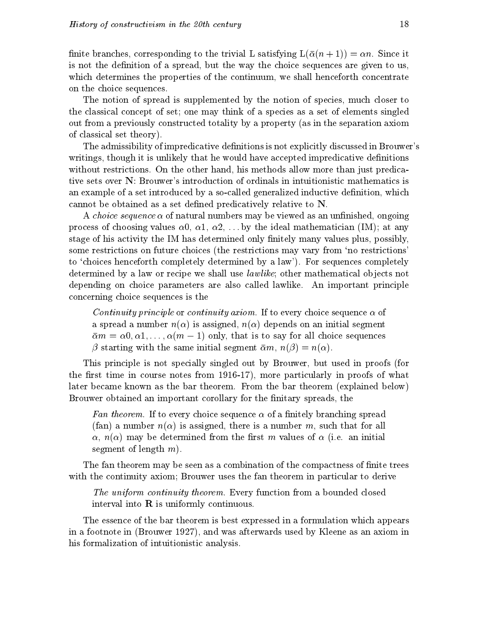nite branches corresponding to the trivial L satisfying L satisfying L n  $\mathbf{N}$  and  $\mathbf{N}$  and  $\mathbf{N}$  and  $\mathbf{N}$  and  $\mathbf{N}$  and  $\mathbf{N}$  and  $\mathbf{N}$  and  $\mathbf{N}$  and  $\mathbf{N}$  and  $\mathbf{N}$  and  $\mathbf{N}$  and  $\mathbf{N$ is not the definition of a spread, but the way the choice sequences are given to us, which determines the properties of the continuum, we shall henceforth concentrate on the choice sequences

The notion of spread is supplemented by the notion of species much closer to the classical concept of set; one may think of a species as a set of elements singled out from a previously constructed totality by a property (as in the separation axiom of classical set theory

The admissibility of impredicative definitions is not explicitly discussed in Brouwer's writings, though it is unlikely that he would have accepted impredicative definitions without restrictions. On the other hand, his methods allow more than just predicative sets over  $N$ : Brouwer's introduction of ordinals in intuitionistic mathematics is an example of a set introduced by a so-called generalized inductive definition, which cannot be obtained as a set defined predicatively relative to  $N$ .

A *choice sequence*  $\alpha$  of natural numbers may be viewed as an unfinished, ongoing process of choosing values - by the ideal mathematician IM
 at any stage of his activity the IM has determined only finitely many values plus, possibly, some restrictions on future choices the restrictions may vary from no restrictions to choices henceforth completely determined by a law For sequences completely determined by a law or recipe we shall use *lawlike*; other mathematical objects not depending on choice parameters are also called lawlike. An important principle concerning choice sequences is the

Community principle of continuity axiom. If to every choice sequence  $\alpha$  of a spread a number  $n(\alpha)$  is assigned,  $n(\alpha)$  depends on an initial segment m -m - only that is to say for all choice sequences  $\mathbf s$  -starting with the same initial segment m n-same in the same initial segment m n-same in the same in the same in the same in the same in the same in the same in the same in the same in the same in the same in the s

This principle is not specially singled out by Brouwer, but used in proofs (for ... more course the course from and an action in provided the proofs of whatever  $\alpha$ later became known as the bar theorem. From the bar theorem (explained below) Brouwer obtained an important corollary for the finitary spreads, the

Fan theorem. If to every choice sequence  $\alpha$  of a finitely branching spread (fan) a number  $n(\alpha)$  is assigned, there is a number m, such that for all  $\alpha$ ,  $n(\alpha)$  may be determined from the first m values of  $\alpha$  (i.e. an initial segment of length  $m$ ).

The fan theorem may be seen as a combination of the compactness of finite trees with the continuity axiom; Brouwer uses the fan theorem in particular to derive

The uniform continuity theorem. Every function from a bounded closed interval into  $\bf R$  is uniformly continuous.

The essence of the bar theorem is best expressed in a formulation which appears in a footnote in Brouwer - and was after was afterwards used by Francesco as an axiom in a his formalization of intuitionistic analysis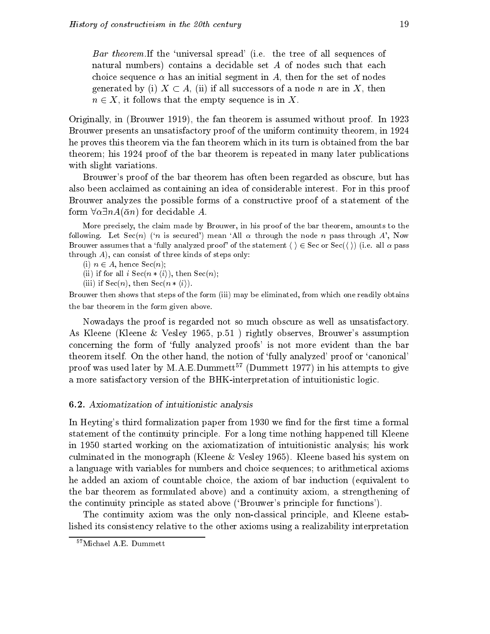$\mu$ ar meorem. It the universal spread (i.e. the tree of all sequences of natural numbers) contains a decidable set  $A$  of nodes such that each choice sequence  $\alpha$  has an initial segment in A, then for the set of nodes generated by (i)  $X \subset A$ , (ii) if all successors of a node n are in X, then  $n \in X$ , it follows that the empty sequence is in X.

originally in Brouwer - and is also in the factor in an indicate with  $\mu$  as the contract of  $\mu$ Brouwer presents an unsatisfactory proof of the uniform continuity theorem in he proves this theorem via the fan theorem which in its turn is obtained from the bar theorem is - proof of the bar theorem is repeated in many later publications in many later publications in many with slight variations.

Brouwer's proof of the bar theorem has often been regarded as obscure, but has also been acclaimed as containing an idea of considerable interest. For in this proof Brouwer analyzes the possible forms of a constructive proof of a statement of the form  $\forall \alpha \exists n A(\bar{\alpha} n)$  for decidable A.

More precisely, the claim made by Brouwer, in his proof of the bar theorem, amounts to the following. Let  $\text{Sec}(n)$  ('n is secured') mean 'All  $\alpha$  through the node n pass through A', Now Brouwer assumes that a 'fully analyzed proof' of the statement  $\langle \ \rangle \in \text{Sec}$  or  $\text{Sec}(\langle \ \rangle)$  (i.e. all  $\alpha$  pass through  $A$ ), can consist of three kinds of steps only:

(i)  $n \in A$ , hence  $\operatorname{Sec}(n)$ ;

```
(ii) if for all i \text{Sec}(n * \langle i \rangle), then \text{Sec}(n);
```
(iii) if  $\text{Sec}(n)$ , then  $\text{Sec}(n * \langle i \rangle)$ .

Brouwer then shows that steps of the form (iii) may be eliminated, from which one readily obtains the bar theorem in the form given above

Nowadays the proof is regarded not so much obscure as well as unsatisfactory As Kleene Kleene Vesley - p- rightly observes Brouwers assumption concerning the form of fully analyzed proofs is not more evident than the bar theorem itself On the other hand the notion of fully analyzed proof or canonical proof was used fater by M.A.E.Dummett (Dummett 1977) in his attempts to give a more satisfactory version of the BHK-interpretation of intuitionistic logic.

# **6.2.** Axiomatization of intuitionistic analysis

In Heytings third formalization paper from - we nd for the rst time a formal statement of the continuity principle For a long time nothing happened till Kleene in - started working on the axiomatization of intuitionistic analysis
 his work culminated in the monograph Kleene Vesley - Kleene based his system on a language with variables for numbers and choice sequences
 to arithmetical axioms he added an axiom of countable choice, the axiom of bar induction (equivalent to the bar theorem as formulated above) and a continuity axiom, a strengthening of the continuity principle as stated above Brouwers principle for functions

The continuity axiom was the only non-classical principle, and Kleene established its consistency relative to the other axioms using a realizability interpretation

<sup>&</sup>lt;sup>57</sup>Michael A.E. Dummett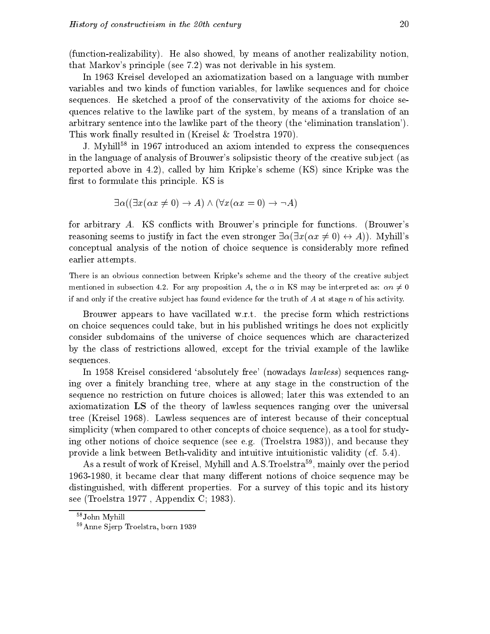(function-realizability). He also showed, by means of another realizability notion, that Markov's principle (see  $7.2$ ) was not derivable in his system.

In - Kreisel developed an axiomatization based on a language with number variables and two kinds of function variables for lawlike sequences and for choice sequences He sketched a proof of the conservativity of the axioms for choice se quences relative to the lawlike part of the system by means of a translation of an arbitrary sentence into the lawlike part of the the theory the the theory the the theory the the theory the th This work nally resulted in Kreisel Troelstra -

J. Mynin 10 In 1907 introduced an axiom intended to express the consequences in the language of analysis of Brouwer's solipsistic theory of the creative subject (as reported above in  $(4.2)$ , called by him Kripke's scheme  $(KS)$  since Kripke was the first to formulate this principle. KS is

$$
\exists \alpha ((\exists x (\alpha x \neq 0) \rightarrow A) \land (\forall x (\alpha x = 0) \rightarrow \neg A)
$$

for arbitrary  $A$ . KS conflicts with Brouwer's principle for functions. (Brouwer's reasoning seems to justify in fact the even stronger  $\exists \alpha (\exists x (\alpha x \neq 0) \leftrightarrow A))$ . Myhill's conceptual analysis of the notion of choice sequence is considerably more rened earlier attempts

There is an obvious connection between Kripke's scheme and the theory of the creative subject mentioned in subsection 4.2. For any proposition A, the  $\alpha$  in KS may be interpreted as:  $\alpha n \neq 0$ if and only if the creative subject has found evidence for the truth of  $A$  at stage  $n$  of his activity.

Brouwer appears to have vacillated w.r.t. the precise form which restrictions on choice sequences could take, but in his published writings he does not explicitly consider subdomains of the universe of choice sequences which are characterized by the class of restrictions allowed, except for the trivial example of the lawlike sequences

In 1990 INTERET CONSIDERTY ADSOLUTELY HERE (HOWAGAYS *tawiess)* sequences ranging over a finitely branching tree, where at any stage in the construction of the sequence no restriction on future choices is allowed; later this was extended to an axiomatization LS of the theory of lawless sequences ranging over the universal tree Kreisel - Lawless sequences are of interest because of their conceptual simplicity (when compared to other concepts of choice sequence), as a tool for studying comes measure as and because sequence see egg Troelstra - and because they are the second provide a link between Beth-validity and intuitive intuitionistic validity (cf. 5.4).

As a result of work of Kreisel, Myhill and A.S. Troelstra<sup>59</sup>, mainly over the period - - it became clear that many dierent notions of choice sequence may be distinguished, with different properties. For a survey of this topic and its history see Troelstra - Appendix Communications - Appendix Communications - Appendix Communications - Appendix Communications - Appendix Communications - Appendix Communications - Appendix Communications - Appendix Communications

<sup>&</sup>lt;sup>58</sup>John Myhill

<sup>-</sup> Anne Sjerp Troelstra, born 1959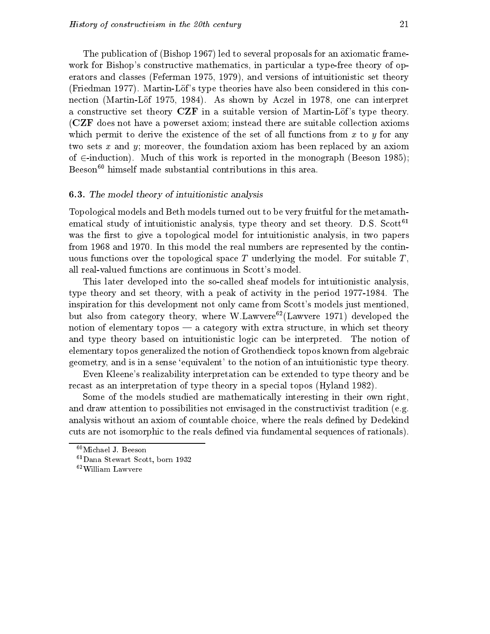The publication of Bishop - led to several proposals for an axiomatic frame work for Bishop's constructive mathematics, in particular a type-free theory of operators and classes Feferman - - and versions of intuitionistic set theory , a considered as a system considered in the considered in the considered in the considered in the constant of nection Martin Martin Martin Martin Martin Martin Martin Martin Martin Martin Martin Martin Martin Martin Marti a constructive set theory  $CZF$  in a suitable version of Martin-Löf's type theory. CZF does not have a powerset axiom
 instead there are suitable collection axioms which permit to derive the existence of the set of all functions from  $x$  to  $y$  for any two sets x and y; moreover, the foundation axiom has been replaced by an axiom of  $\epsilon$  induction  $\mu$  are non-distance is reported in the monograph  $\mu$  and  $\mu$  are  $\mu$  $Beeson<sup>60</sup>$  himself made substantial contributions in this area.

# **6.3.** The model theory of intuitionistic analysis

Topological models and Beth models turned out to be very fruitful for the metamath ematical study of intuitionistic analysis, type theory and set theory.  $D.S.$  Scott<sup>61</sup> was the first to give a topological model for intuitionistic analysis, in two papers from - and - In this model the real numbers are represented by the contin uous functions over the topological space T underlying the model. For suitable  $T$ , all real-valued functions are continuous in Scott's model.

This later developed into the so-called sheaf models for intuitionistic analysis, type theory and set theory with a period -  $\mathcal{A}$  period -  $\mathcal{A}$  period -  $\mathcal{A}$ inspiration for this development not only came from Scott's models just mentioned, put also from category theory, where w.Lawvere (Lawvere 1971) developed the notion of elementary topos  $\frac{a}{b}$  a category with extra structure, in which set theory and type theory based on intuitionistic logic can be interpreted. The notion of elementary topos generalized the notion of Grothendieck topos known from algebraic geometry and is in a sense equivalent to the notion of an intuitionistic type theory

Even Kleene's realizability interpretation can be extended to type theory and be recast as an interpretation of type theory in a special topos Hyland -

Some of the models studied are mathematically interesting in their own right and draw attention to possibilities not envisaged in the constructivist tradition (e.g. analysis without an axiom of countable choice, where the reals defined by Dedekind cuts are not isomorphic to the reals defined via fundamental sequences of rationals).

<sup>&</sup>lt;sup>60</sup>Michael J. Beeson

Dana Stewart Scott, born 1952 -

William Lawvere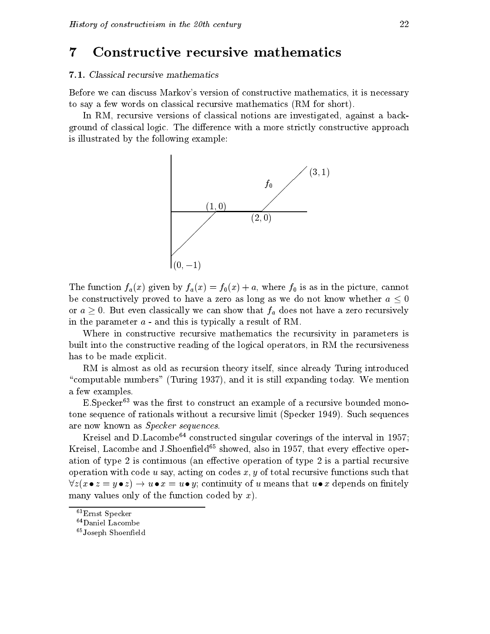# Constructive recursive mathematics

Before we can discuss Markov's version of constructive mathematics, it is necessary to say a few words on classical recursive mathematics (RM for short).

In RM, recursive versions of classical notions are investigated, against a background of classical logic. The difference with a more strictly constructive approach is illustrated by the following example



The function  $f_a(x)$  given by  $f_a(x) = f_0(x) + a$ , where  $f_0$  is as in the picture, cannot be constructively proved to have a zero as long as we do not know whether a or  $a \geq 0$ . But even classically we can show that  $f_a$  does not have a zero recursively in the parameter  $a$  - and this is typically a result of RM.

Where in constructive recursive mathematics the recursivity in parameters is built into the constructive reading of the logical operators in RM the recursiveness has to be made explicit

RM is almost as old as recursion theory itself, since already Turing introduced  $\alpha$  . The issue today the internal order  $\alpha$  is still expanding to the  $\alpha$  -resonance  $\alpha$ a few examples

ESpecker- was the rst to construct an example of a recursive bounded mono tone sequence of rationals without at a recursive manager pricess of a process sequences. are now known as Specker sequences

Kreisel and D.Lacombe  $\tau$  constructed singular coverings of the interval in  $1957$ ; Kreisel, Lacombe and J.Shoenheid  $\cdot$  showed, also in 1957, that every effective operation of type 2 is continuous (an effective operation of type 2 is a partial recursive operation with code u say, acting on codes  $x, y$  of total recursive functions such that zx z y z - u x u y
 continuity of u means that u x depends on nitely many values only of the function coded by  $x$ ).

<sup>-</sup>Ernst Specker

Daniel Lacombe

 $65$ Joseph Shoenfield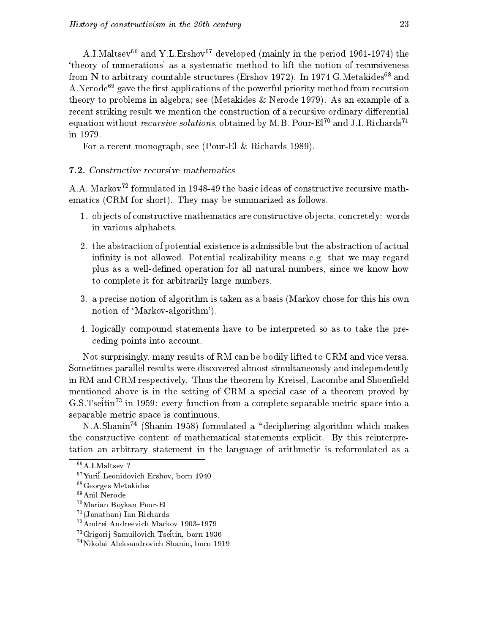A.i.maitsev and Y.L.Ershov developed (mainly in the period 1901-1974) the theory of numerations as a systematic method to lift the notion of recursiveness from IN to arbitrary countable structures (Ershov 1972). In 1974 G.Metakides  $\cdot$  and A. Nerode<sup>69</sup> gave the first applications of the powerful priority method from recursion theory to problems in algebra
 see Metakides Nerode - As an example of a recent striking result we mention the construction of a recursive ordinary differential equation without *recursive solutions*, obtained by M.B. Pour- $E1^{70}$  and J.I. Richards<sup>71</sup>

For a recent monograph see Pour El Richards -

# 7.2. Constructive recursive mathematics

A.A. Markov formulated in 1948-49 the basic ideas of constructive recursive mathematics (CRM for short). They may be summarized as follows.

- ob jects of constructive mathematics are constructive ob jects concretely words in various alphabets
- 2. the abstraction of potential existence is admissible but the abstraction of actual infinity is not allowed. Potential realizability means e.g. that we may regard plus as a well-defined operation for all natural numbers, since we know how to complete it for arbitrarily large numbers
- a precise notion of algorithm is taken as a basis Markov chose for this his own notion of Markov algorithm
- 4. logically compound statements have to be interpreted so as to take the preceding points into account

Not surprisingly many results of RM can be bodily lifted to CRM and vice versa Sometimes parallel results were discovered almost simultaneously and independently in RM and CRM respectively. Thus the theorem by Kreisel, Lacombe and Shoenfield mentioned above is in the setting of CRM a special case of a theorem proved by G.S. I seitin<sup>ra</sup> in 1959: every function from a complete separable metric space into a separable metric space is continuous

N.A.Shanin <sup>-</sup> (Shanin 1958) formulated a "deciphering algorithm which makes" the constructive content of mathematical statements explicit. By this reinterpretation an arbitrary statement in the language of arithmetic is reformulated as a

 $66$  A.I. Maltsev ?

 $\sim$  Yurii Leonidovich Ershov, born 1940  $\sim$ 

<sup>&</sup>lt;sup>68</sup>Georges Metakides

Anil Nerode

Marian Boykan Pour
El

 $71$ (Jonathan) Ian Richards

 $\sim$ Andrei Andreevich Markov 1903–1979

 $\sim$ Grigorij Samunovich Tseitin, born 1950

<sup>-</sup>Ivikolai Aleksandrovich Shanin, born 1919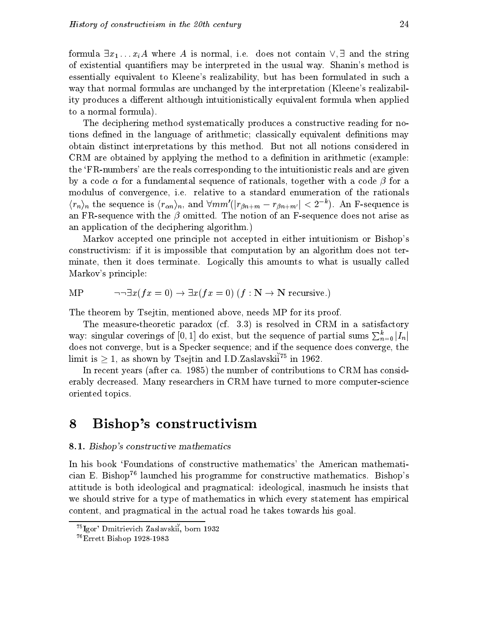formula  $\exists x_1 \ldots x_iA$  where A is normal, i.e. does not contain  $\vee$ ,  $\exists$  and the string of existential quantifiers may be interpreted in the usual way. Shanin's method is essentially equivalent to Kleene's realizability, but has been formulated in such a way that normal formulas are unchanged by the interpretation (Kleene's realizability produces a different although intuitionistically equivalent formula when applied to a normal formula

The deciphering method systematically produces a constructive reading for no tions defined in the language of arithmetic; classically equivalent definitions may obtain distinct interpretations by this method. But not all notions considered in CRM are obtained by applying the method to a definition in arithmetic (example: the real measure are the real corresponding to the intuition to correspond the integration by a code for a fundamental sequence of rationals together with a code - for a modulus of convergence, i.e. relative to a standard enumeration of the rationals  $\langle r_n \rangle_n$  the sequence is  $\langle r_{\alpha n} \rangle_n$ , and  $\forall mm'(|r_{\beta n+m} - r_{\beta n+m'}| < 2^{-k})$ . An F-sequence is an Frontier with the second the sequence of an Theorem as a form of an Form of an Form of an Form of an Form an application of the deciphering algorithm

Markov accepted one principle not accepted in either intuitionism or Bishop's constructivism: if it is impossible that computation by an algorithm does not terminate, then it does terminate. Logically this amounts to what is usually called Markov's principle:

$$
\text{MP} \qquad \qquad \neg \neg \exists x (fx = 0) \rightarrow \exists x (fx = 0) (f: \mathbf{N} \rightarrow \mathbf{N} \text{ recursive.})
$$

The theorem by Tsejtin, mentioned above, needs MP for its proof.

The measure-theoretic paradox (cf.  $3.3$ ) is resolved in CRM in a satisfactory way: singular coverings of [0, 1] do exist, but the sequence of partial sums  $\sum_{n=0}^{k} |I_n|$ does not converge, but is a Specker sequence; and if the sequence does converge, the  $\min$  is  $>$  1, as shown by Tsejtin and I.D.Zasiavskii in 1902.

In recent years after ca - the number of contributions to CRM has consid erably decreased. Many researchers in CRM have turned to more computer-science oriented topics

# 8 Bishop's constructivism

### - Bishops constructive mathematics

cian E. Bishop<sup>76</sup> launched his programme for constructive mathematics. Bishop's attitude is both ideological and pragmatical: ideological, inasmuch he insists that we should strive for a type of mathematics in which every statement has empirical content, and pragmatical in the actual road he takes towards his goal.

 $\sim$  Igor Dmitrievich Zaslavskii, born 1952

 $\therefore$  Ellen Distiob 1270-1209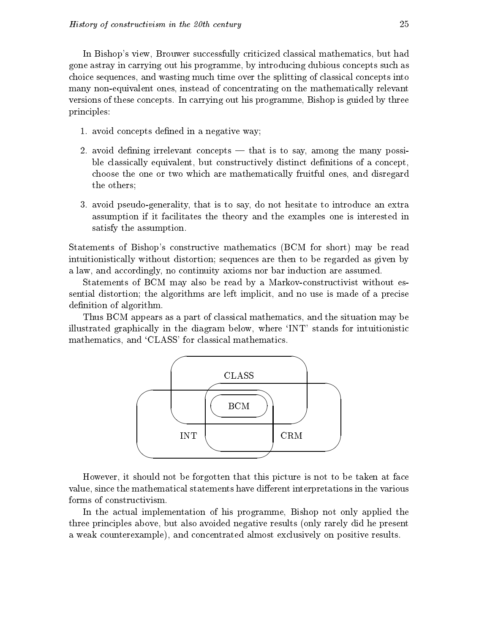In Bishop's view, Brouwer successfully criticized classical mathematics, but had gone astray in carrying out his programme, by introducing dubious concepts such as choice sequences and wasting much time over the splitting of classical concepts into many non-equivalent ones, instead of concentrating on the mathematically relevant versions of these concepts. In carrying out his programme, Bishop is guided by three principles

- avoid concepts designed in a negative way,
- 2. avoid defining irrelevant concepts  $-$  that is to say, among the many possible classically equivalent, but constructively distinct definitions of a concept, choose the one or two which are mathematically fruitful ones and disregard the others
- 3. avoid pseudo-generality, that is to say, do not hesitate to introduce an extra assumption if it facilitates the theory and the examples one is interested in satisfy the assumption

Statements of Bishop's constructive mathematics (BCM for short) may be read intuition is tically without distortion; sequences are then to be regarded as given by a law, and accordingly, no continuity axioms nor bar induction are assumed.

Statements of BCM may also be read by a Markov-constructivist without essential distortion; the algorithms are left implicit, and no use is made of a precise definition of algorithm.

Thus BCM appears as a part of classical mathematics and the situation may be illustrated graphically in the diagram below where INT stands for intuitionistic mathematics and CLASS for classical mathematics



However, it should not be forgotten that this picture is not to be taken at face value, since the mathematical statements have different interpretations in the various forms of constructivism

In the actual implementation of his programme, Bishop not only applied the three principles above, but also avoided negative results (only rarely did he present a weak counterexample), and concentrated almost exclusively on positive results.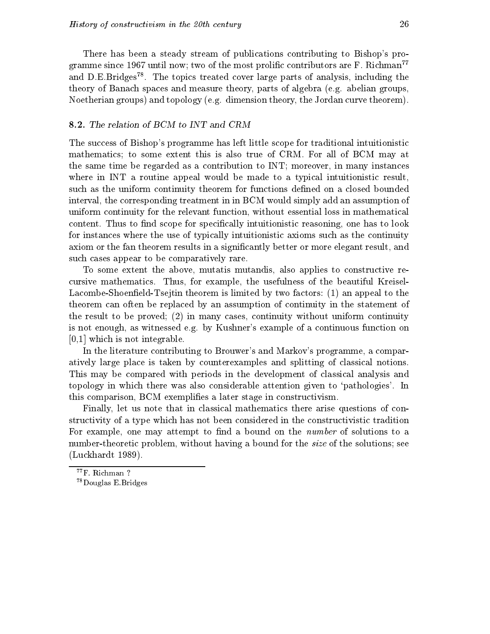There has been a steady stream of publications contributing to Bishop's programme since 1907 until now; two of the most prolinc contributors are F. Kichman  $\tau$ and D.E.Dridges T. The topics treated cover large parts of analysis, including the theory of Banach spaces and measure theory, parts of algebra (e.g. abelian groups, Noetherian groups) and topology (e.g. dimension theory, the Jordan curve theorem).

# 8.2. The relation of BCM to INT and CRM

The success of Bishop's programme has left little scope for traditional intuitionistic mathematics; to some extent this is also true of CRM. For all of BCM may at the same time be regarded as a contribution to INT
 moreover in many instances where in INT a routine appeal would be made to a typical intuitionistic result, such as the uniform continuity theorem for functions defined on a closed bounded interval, the corresponding treatment in in BCM would simply add an assumption of uniform continuity for the relevant function, without essential loss in mathematical content. Thus to find scope for specifically intuitionistic reasoning, one has to look for instances where the use of typically intuitionistic axioms such as the continuity axiom or the fan theorem results in a significantly better or more elegant result, and such cases appear to be comparatively rare

To some extent the above, mutatis mutandis, also applies to constructive recursive mathematics. Thus, for example, the usefulness of the beautiful Kreisel- $\mathcal{L}$  . The orientation is limited by two factors - and the orientation of the state of the state of the state of the state of the state of the state of the state of the state of the state of the state of the state of theorem can often be replaced by an assumption of continuity in the statement of the result to be proved;  $(2)$  in many cases, continuity without uniform continuity is not enough, as witnessed e.g. by Kushner's example of a continuous function on  $\blacksquare$  which is not integrable integrable integrable integrable integrable integrable integrable integrable integrable integrable integrable integrable integrable integrable integrable integrable integrable integrable int

In the literature contributing to Brouwer's and Markov's programme, a comparatively large place is taken by counterexamples and splitting of classical notions This may be compared with periods in the development of classical analysis and topology in which there was also considerable attention given to pathologies In this comparison, BCM exemplifies a later stage in constructivism.

Finally, let us note that in classical mathematics there arise questions of constructivity of a type which has not been considered in the constructivistic tradition For example, one may attempt to find a bound on the *number* of solutions to a number-theoretic problem, without having a bound for the *size* of the solutions; see  $\mathcal{L}$  and  $\mathcal{L}$  and  $\mathcal{L}$  and  $\mathcal{L}$  and  $\mathcal{L}$  and  $\mathcal{L}$  and  $\mathcal{L}$  and  $\mathcal{L}$  and  $\mathcal{L}$  and  $\mathcal{L}$  and  $\mathcal{L}$  and  $\mathcal{L}$  and  $\mathcal{L}$  and  $\mathcal{L}$  and  $\mathcal{L}$  and  $\mathcal{L}$  and  $\mathcal{L}$  and

 $^{77}$ F. Richman?

<sup>&</sup>lt;sup>78</sup> Douglas E. Bridges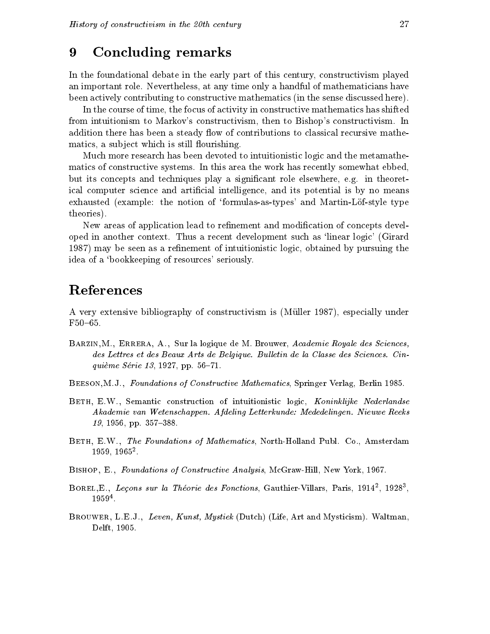#### 9 Concluding remarks

In the foundational debate in the early part of this century constructivism played an important role. Nevertheless, at any time only a handful of mathematicians have been actively contributing to constructive mathematics (in the sense discussed here).

In the course of time, the focus of activity in constructive mathematics has shifted from intuitionism to Markov's constructivism, then to Bishop's constructivism. In addition there has been a steady flow of contributions to classical recursive mathematics, a subject which is still flourishing.

Much more research has been devoted to intuitionistic logic and the metamathe matics of constructive systems. In this area the work has recently somewhat ebbed, but its concepts and techniques play a significant role elsewhere, e.g. in theoretical computer science and articial intelligence and its potential is by no means exhausted example the notion of formulas as types and Martin L!of style type theories

New areas of application lead to refinement and modification of concepts developed in another context Thus a recent development such as linear logic Girard - may be seen as a renement of intuitionistic logic obtained by pursuing the idea of a bookkeeping of resources seriously

# References

a very extensive bibliography of constructivism is Minimum for the Medicine of Medicine and Medicine  $F50-65.$ 

- BARZIN, M., ERRERA, A., Sur la logique de M. Brouwer, Academie Royale des Sciences, des Lettres et des Beaux Arts de Belgique. Bulletin de la Classe des Sciences. Cin- $\mathbf{r}$  -series of  $\mathbf{r}$  -series of  $\mathbf{r}$  -series of  $\mathbf{r}$  -series of  $\mathbf{r}$
- BeesonMJ Foundations of Constructive Mathematics Springer Verlag Berlin -
- BETH, E.W., Semantic construction of intuitionistic logic, Koninklijke Nederlandse Akademie van Wetenschappen. Afdeling Letterkunde: Mededelingen. Nieuwe Reeks -pp. the property of the property of the property of the property of the property of the property of the property of the property of the property of the property of the property of the property of the property of the prope
- BETH, E.W., The Foundations of Mathematics, North-Holland Publ. Co., Amsterdam 1999, 1909 -
- Bishop E Foundations of Constructive Analysis McGrawHill New York -
- $\mathbf{B}$ OREL, E., Decons sur la Theorie des Fonctions, Gauthier-Villars, Paris, 1914<sup>-</sup>, 1928<sup>-</sup>, 1999.
- art is the Leven-Life Art and Mysticism (which is a complete art and Mysticism Waltman, and Mysticism Waltman, delft - Delft - Delft - Delft - Delft - Delft - Delft - Delft - Delft - Delft - Delft - Delft - Delft - Delft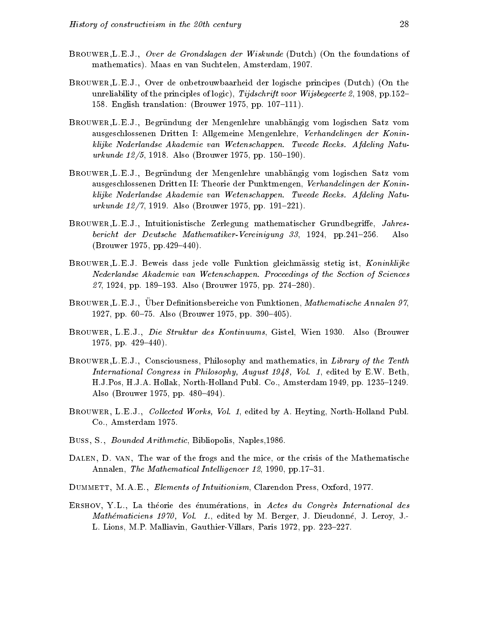- BROUWER, L.E.J., Over de Grondslagen der Wiskunde (Dutch) (On the foundations of mathematics Maas en van Suchtelen Amsterdam -
- BROUWER, L.E.J., Over de onbetrouwbaarheid der logische principes (Dutch) (On the unreligities of the principles of logic Tijdschrift voor Wijsbegeerte algebeerte pp-film - English translation 
Brouwer - pp ----
- BROUWER, L.E.J., Begründung der Mengenlehre unabhängig vom logischen Satz vom ausgeschlossenen Dritten I: Allgemeine Mengenlehre, Verhandelingen der Koninklijke Nederlandse Akademie van Wetenschappen. Tweede Reeks. Afdeling Natu- $\mathcal{L}$  and  $\mathcal{L}$  are proposed to the set of the set of the set of the set of the set of the set of the set of the set of the set of the set of the set of the set of the set of the set of the set of the set of the set
- BROUWER, L.E.J., Begründung der Mengenlehre unabhängig vom logischen Satz vom ausgeschlossenen Dritten II: Theorie der Punktmengen, Verhandelingen der Koninklijke Nederlandse Akademie van Wetenschappen. Tweede Reeks. Afdeling Natuurkunde  -- Also 
Brouwer - pp ---
- BROUWER, L.E.J., Intuitionistische Zerlegung mathematischer Grundbegriffe, Jahresbericht der Deutsche MathematikerVereinigung - pp- Also  $\mathbf{B}$  and  $\mathbf{B}$  and  $\mathbf{B}$  are proposed to the proposed of the set of the set of the set of the set of the set of the set of the set of the set of the set of the set of the set of the set of the set of the set of
- BROUWER, L.E.J. Beweis dass jede volle Funktion gleichmässig stetig ist, Koninklijke Nederlandse Akademie van Wetenschappen Proceedings of the Section of Sciences - pp - - Also 
Brouwer - pp
- $B_{\rm B}$ rouwer,  $B_{\rm B}$ . Uber Denimitionsbereiche von Funktionen, *Mathematische Annalen v*r, - pp Also 
Brouwer - pp
- abrouwer Leon Die Struktur des Kontinuums Gistel Wien Herbert Wien Die Struktur von Die Struktur von Die S - pp
- BROUWER, L.E.J., Consciousness, Philosophy and mathematics, in Library of the Tenth International Congress in Philosophy- August - Vol edited by EW Beth  $\mathbf{H}$  Hypothelic Northern Public Co  $\mathbf{H}$  Hypothelic Amsterdam -  $\mathbf{H}$ Also 
Brouwer - pp
- Brouwer LEJ Col lected Works- Vol edited by A Heyting NorthHolland Publ Co Amsterdam -
- Buss S Bounded Arithmetic Bibliopolis Naples-
- DALEN, D. VAN, The war of the frogs and the mice, or the crisis of the Mathematische Annalen The Mathematical Intel ligencer - pp- -
- Dummett MAE Elements of Intuitionism Clarendon Press Oxford -
- ERSHOV, Y.L., La théorie des énumérations, in Actes du Congrès International des  $\mathcal{N}$  and  $\mathcal{N}$  and  $\mathcal{N}$  and  $\mathcal{N}$  and  $\mathcal{N}$  and  $\mathcal{N}$  and  $\mathcal{N}$  and  $\mathcal{N}$  and  $\mathcal{N}$  and  $\mathcal{N}$  and  $\mathcal{N}$  and  $\mathcal{N}$  and  $\mathcal{N}$  and  $\mathcal{N}$  and  $\mathcal{N}$  and  $\mathcal{N}$  and  $\mathcal{N}$  and L Lions MP Malliavin GauthierVillars Paris - pp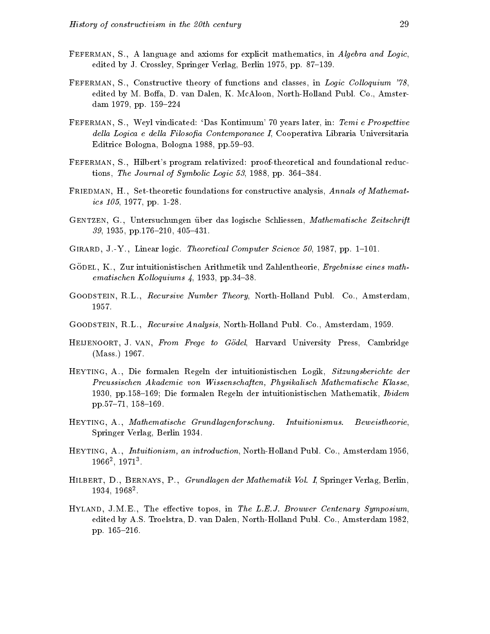- FEFERMAN, S., A language and axioms for explicit mathematics, in Algebra and Logic, edited by J  $\mathcal{L}$  and  $\mathcal{L}$  and  $\mathcal{L}$  and  $\mathcal{L}$  and  $\mathcal{L}$  are  $\mathcal{L}$  and  $\mathcal{L}$  and  $\mathcal{L}$  are  $\mathcal{L}$  and  $\mathcal{L}$  and  $\mathcal{L}$  are  $\mathcal{L}$  and  $\mathcal{L}$  are  $\mathcal{L}$  and  $\mathcal{L}$  and  $\mathcal{L}$  are
- FEFERMAN, S., Constructive theory of functions and classes, in Logic Colloquium '78, edited by M. Boffa, D. van Dalen, K. McAloon, North-Holland Publ. Co., Amsterdam - pp -
- FEFERMAN, S., Weyl vindicated: 'Das Kontinuum' 70 years later, in: Temi e Prospettive della Logica e della Filosofia Contemporanee I, Cooperativa Libraria Universitaria  $\mathbf{E}$  and  $\mathbf{E}$  and  $\mathbf{E}$  and  $\mathbf{E}$  and  $\mathbf{E}$  and  $\mathbf{E}$  and  $\mathbf{E}$  and  $\mathbf{E}$  and  $\mathbf{E}$  and  $\mathbf{E}$  and  $\mathbf{E}$  and  $\mathbf{E}$  and  $\mathbf{E}$  and  $\mathbf{E}$  and  $\mathbf{E}$  and  $\mathbf{E}$  and  $\mathbf{E}$  and
- FEFERMAN, S., Hilbert's program relativized: proof-theoretical and foundational reductions The Journal of Symbolic Logic  $\mathcal{L}$  and  $\mathcal{L}$  and  $\mathcal{L}$  and  $\mathcal{L}$  and  $\mathcal{L}$  and  $\mathcal{L}$  and  $\mathcal{L}$  and  $\mathcal{L}$  and  $\mathcal{L}$  and  $\mathcal{L}$  and  $\mathcal{L}$  and  $\mathcal{L}$  and  $\mathcal{L}$  and  $\mathcal{L}$  and  $\math$
- FRIEDMAN, H., Set-theoretic foundations for constructive analysis, Annals of Mathematis a set of the set of the set of the set of the set of the set of the set of the set of the set of the set of
- GENTZEN, G., Untersuchungen über das logische Schliessen, Mathematische Zeitschrift ... ..... .... ... .... ... ...
- received in the computer state of the computer science in the property of the state of the computer science of
- GÖDEL, K., Zur intuitionistischen Arithmetik und Zahlentheorie, Ergebnisse eines mathematischen Kolonie gereiner gij wordt ppersonen van
- GOODSTEIN, R.L., Recursive Number Theory, North-Holland Publ. Co., Amsterdam,
- Goodstein RL Recursive Analysis NorthHolland Publ Co Amsterdam -
- HEIJENOORT, J. VAN, From Frege to Gödel, Harvard University Press, Cambridge Mass -
- HEYTING, A., Die formalen Regeln der intuitionistischen Logik, Sitzungsberichte der Preussischen Akademie von Wissenschaften- Physikalisch Mathematische Klasse - pp- - Die formalen Regeln der intuitionistischen Mathematik Ibidem pp- - -
- HEYTING, A., Mathematische Grundlagenforschung. Intuitionismus. Beweistheorie,  $S$  -  $S$  -  $S$  -  $S$  -  $S$  -  $S$  -  $S$  -  $S$  -  $S$  -  $S$  -  $S$  -  $S$  -  $S$  -  $S$  -  $S$  -  $S$  -  $S$  -  $S$  -  $S$  -  $S$  -  $S$  -  $S$  -  $S$  -  $S$  -  $S$  -  $S$  -  $S$  -  $S$  -  $S$  -  $S$  -  $S$  -  $S$  -  $S$  -  $S$  -  $S$  -  $S$  -  $S$  -
- Heyting A Intuitionism- an introduction NorthHolland Publ Co Amsterdam 1900 ' 1911 '
- HILBERT, D., BERNAYS, P., Grundlagen der Mathematik Vol. I, Springer Verlag, Berlin, -  -
- HYLAND, J.M.E., The effective topos, in The L.E.J. Brouwer Centenary Symposium, edited by AS Troelstra D van Dalen NorthHolland Publ Co Amsterdam pp --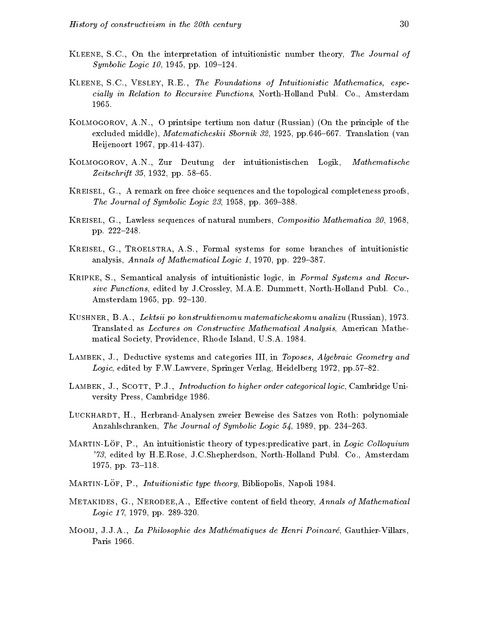- KLEENE, S.C., On the interpretation of intuitionistic number theory, The Journal of  $\mathcal{S}$  . The symbolic Logic Logic Logic Logic Logic Logic Logic Logic Logic Logic Logic Logic Logic Logic Logic Logic Logic Logic Logic Logic Logic Logic Logic Logic Logic Logic Logic Logic Logic Logic Logic Logic Logic
- es and the foundation of the Foundations of Intuitions of International Assembly and the foundation of the foundation cially in Relation to Recursive Functions, North-Holland Publ. Co., Amsterdam
- KOLMOGOROV, A.N., O printsipe tertium non datur (Russian) (On the principle of the exclude middle Matematical Society of the Matematic Section of the Section of the Society of the Section 1999 height is a positive to the contract of the contract of the contract of the contract of the contract of the co
- KOLMOGOROV, A.N., Zur Deutung der intuitionistischen Logik, Mathematische zeitschrift in der eine Stadt der Erstellung der Erstellung der Erstellung der Erstellung der Erstellung der E
- KREISEL, G., A remark on free choice sequences and the topological completeness proofs, The  $J$  -symbolic Logic Logic Logic Logic Logic Logic Logic Logic Logic Logic Logic Logic Logic Logic Logic Logic
- Kreisel G Lawless sequences of natural numbers Compositio Mathematica pp. 222-248.
- KREISEL, G., TROELSTRA, A.S., Formal systems for some branches of intuitionistic analysis, and all mathematical logic in the Mathematical Logic International Logic International Logic International Logic
- KRIPKE, S., Semantical analysis of intuitionistic logic, in Formal Systems and Recursive Functions, edited by J.Crossley, M.A.E. Dummett, North-Holland Publ. Co., Amsterdam - pp -
- Kushner BA Lektsii po konstruktivnomu matematicheskomu analizu Russian Translated as *Lectures on Constructive Mathematical Analysis*, American Mathematical Society Providence Rhode Island USA -
- Lambek J Deductive systems and categories III in Toposes- Algebraic Geometry and Logic edited by FWLawvere Springer Verlag Heidelberg - pp
- LAMBEK, J., SCOTT, P.J., *Introduction to higher order categorical logic*, Cambridge University Press Cambridge Press Camp
- LUCKHARDT, H., Herbrand-Analysen zweier Beweise des Satzes von Roth: polynomiale Anzahlschranken The Journal of Symbolic Logic 
 - pp
- $\ldots$  . The property  $\ldots$  is the metallicity of theory of typespredicative part in Logic Collegeration '73, edited by H.E.Rose, J.C.Shepherdson, North-Holland Publ. Co., Amsterdam - pp --
- martin- por  $\mathbf{r}$  is the measurement of the second structure  $\mathbf{r}$  and  $\mathbf{r}$  is not defined in
- METAKIDES, G., NERODEE, A., Effective content of field theory, Annals of Mathematical Logic - pp
- Mooij, J.J.A., La Philosophie des Mathématiques de Henri Poincaré, Gauthier-Villars,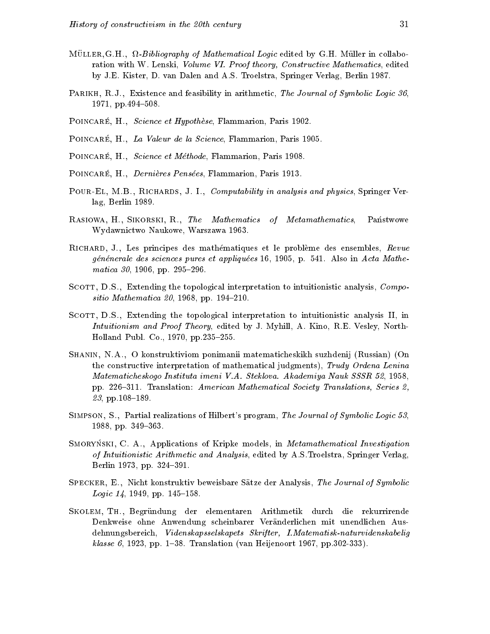- MÜLLER, G.H.,  $\Omega$ -Bibliography of Mathematical Logic edited by G.H. Müller in collaboration with W Lenski Volume VI Proof theory- Constructive Mathematics edited by Je Kister Districtly is the Second and As Troelstra Springer Verlag Berlin - Troelstra Springer Verlag Berli
- PARIKH, R.J., Existence and feasibility in arithmetic, The Journal of Symbolic Logic 36, -- pp
- $\blacksquare$   $\blacksquare$   $\blacksquare$   $\blacksquare$  .  $\blacksquare$   $\blacksquare$   $\blacksquare$   $\blacksquare$   $\blacksquare$   $\blacksquare$   $\blacksquare$   $\blacksquare$   $\blacksquare$   $\blacksquare$   $\blacksquare$   $\blacksquare$   $\blacksquare$   $\blacksquare$   $\blacksquare$   $\blacksquare$   $\blacksquare$   $\blacksquare$   $\blacksquare$   $\blacksquare$   $\blacksquare$   $\blacksquare$   $\blacksquare$   $\blacksquare$   $\blacksquare$   $\blacksquare$   $\blacksquare$   $\$
- $\blacksquare$  . Only change  $\blacksquare$  . The lattice  $\blacksquare$  and  $\blacksquare$  are  $\blacksquare$  and  $\blacksquare$  . Then  $\blacksquare$  are  $\blacksquare$  and  $\blacksquare$  and  $\blacksquare$  and  $\blacksquare$  and  $\blacksquare$  and  $\blacksquare$  and  $\blacksquare$  and  $\blacksquare$  and  $\blacksquare$  and  $\blacksquare$  and  $\blacksquare$  and
- $P$  is the state  $P$  such that  $P$  is the set of  $P$  is the state  $P$  such as  $P$  is the set of  $P$
- $P$  . The correction  $P$  is the property  $P$  and  $P$  is the particle  $P$  are  $P$  . Then  $P$
- Pour-El MB Richards J I Computability in analysis and physics Springer Ver lag Berlin -
- RASIOWA, H., SIKORSKI, R., The Mathematics of Metamathematics, Panstwowe Wydawnictwo Naukowe Warszawa - Wydawnictwo Naukowe Warszawa - Wydawnictwo Naukowe Warszawa - Wydawnictwo Naukow
- RICHARD, J., Les principes des mathématiques et le problème des ensembles, Revue  $\mathcal{A}$  -mathematic estate of  $\mathcal{A}$  -mathematic estate of also in Acta Mathematic estate of  $\mathcal{A}$ matrix and the contract of the contract of the contract of the contract of the contract of the contract of the contract of the contract of the contract of the contract of the contract of the contract of the contract of th
- SCOTT, D.S., Extending the topological interpretation to intuitionistic analysis,  $Compo$ sitio Mathematica - pp --
- SCOTT, D.S., Extending the topological interpretation to intuitionistic analysis II, in Intuitionism and Proof Theory, edited by J. Myhill, A. Kino, R.E. Vesley, North-Holland Publ Co - pp
- SHANIN, N.A., O konstruktiviom ponimanii matematicheskikh suzhdenij (Russian) (On the constructive interpretation of mathematical judgments), Trudy Ordena Lenina Matematicheskogo Instituta imeni VA Steklova Akademiya Nauk SSSR 
 pp -- Translation American Mathematical Society Translations- Series pp- -
- SIMPSON, S., Partial realizations of Hilbert's program, The Journal of Symbolic Logic 53, - pp
- SMORYŃSKI, C. A., Applications of Kripke models, in *Metamathematical Investigation* of Intuitionistic Arithmetic and Analysis, edited by A.S. Troelstra, Springer Verlag, Berlin - pp  -
- SPECKER, E., Nicht konstruktiv beweisbare Sätze der Analysis, The Journal of Symbolic Logic - pp --
- SKOLEM, TH., Begründung der elementaren Arithmetik durch die rekurrirende Denkweise ohne Anwendung scheinbarer Veranderlichen mit unendlichen Aus dehnungsbereich Videnskapsselskapets Skrifter- IMatematisknaturvidenskabelig klasse - pp - Translation 
van Heijenoort - pp